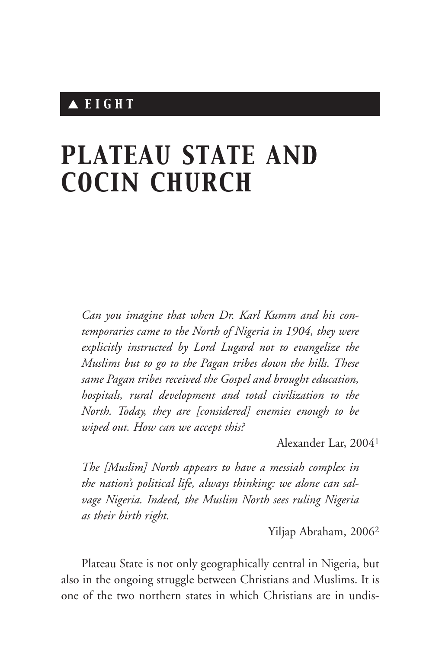# ▲ *EIGHT*

# *PLATEAU STATE AND COCIN CHURCH*

*Can you imagine that when Dr. Karl Kumm and his contemporaries came to the North of Nigeria in 1904, they were explicitly instructed by Lord Lugard not to evangelize the Muslims but to go to the Pagan tribes down the hills. These same Pagan tribes received the Gospel and brought education, hospitals, rural development and total civilization to the North. Today, they are [considered] enemies enough to be wiped out. How can we accept this?*

Alexander Lar, 20041

*The [Muslim] North appears to have a messiah complex in the nation's political life, always thinking: we alone can salvage Nigeria. Indeed, the Muslim North sees ruling Nigeria as their birth right.*

Yiljap Abraham, 20062

Plateau State is not only geographically central in Nigeria, but also in the ongoing struggle between Christians and Muslims. It is one of the two northern states in which Christians are in undis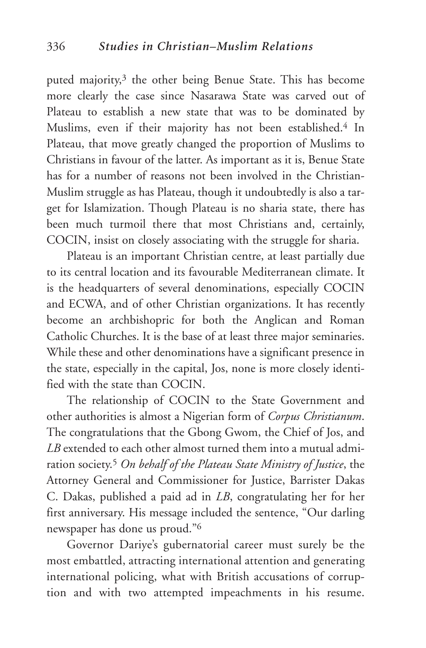puted majority,<sup>3</sup> the other being Benue State. This has become more clearly the case since Nasarawa State was carved out of Plateau to establish a new state that was to be dominated by Muslims, even if their majority has not been established.4 In Plateau, that move greatly changed the proportion of Muslims to Christians in favour of the latter. As important as it is, Benue State has for a number of reasons not been involved in the Christian-Muslim struggle as has Plateau, though it undoubtedly is also a target for Islamization. Though Plateau is no sharia state, there has been much turmoil there that most Christians and, certainly, COCIN, insist on closely associating with the struggle for sharia.

Plateau is an important Christian centre, at least partially due to its central location and its favourable Mediterranean climate. It is the headquarters of several denominations, especially COCIN and ECWA, and of other Christian organizations. It has recently become an archbishopric for both the Anglican and Roman Catholic Churches. It is the base of at least three major seminaries. While these and other denominations have a significant presence in the state, especially in the capital, Jos, none is more closely identified with the state than COCIN.

The relationship of COCIN to the State Government and other authorities is almost a Nigerian form of *Corpus Christianum*. The congratulations that the Gbong Gwom, the Chief of Jos, and *LB* extended to each other almost turned them into a mutual admiration society.5 *On behalf of the Plateau State Ministry of Justice*, the Attorney General and Commissioner for Justice, Barrister Dakas C. Dakas, published a paid ad in *LB*, congratulating her for her first anniversary. His message included the sentence, "Our darling newspaper has done us proud."6

Governor Dariye's gubernatorial career must surely be the most embattled, attracting international attention and generating international policing, what with British accusations of corruption and with two attempted impeachments in his resume.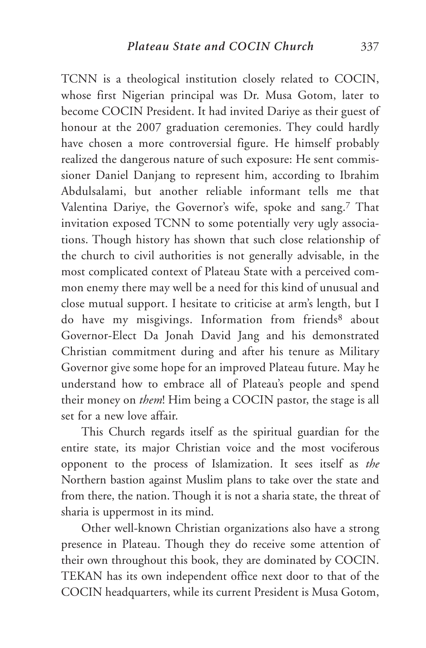TCNN is a theological institution closely related to COCIN, whose first Nigerian principal was Dr. Musa Gotom, later to become COCIN President. It had invited Dariye as their guest of honour at the 2007 graduation ceremonies. They could hardly have chosen a more controversial figure. He himself probably realized the dangerous nature of such exposure: He sent commissioner Daniel Danjang to represent him, according to Ibrahim Abdulsalami, but another reliable informant tells me that Valentina Dariye, the Governor's wife, spoke and sang.7 That invitation exposed TCNN to some potentially very ugly associations. Though history has shown that such close relationship of the church to civil authorities is not generally advisable, in the most complicated context of Plateau State with a perceived common enemy there may well be a need for this kind of unusual and close mutual support. I hesitate to criticise at arm's length, but I do have my misgivings. Information from friends<sup>8</sup> about Governor-Elect Da Jonah David Jang and his demonstrated Christian commitment during and after his tenure as Military Governor give some hope for an improved Plateau future. May he understand how to embrace all of Plateau's people and spend their money on *them*! Him being a COCIN pastor, the stage is all set for a new love affair.

This Church regards itself as the spiritual guardian for the entire state, its major Christian voice and the most vociferous opponent to the process of Islamization. It sees itself as *the* Northern bastion against Muslim plans to take over the state and from there, the nation. Though it is not a sharia state, the threat of sharia is uppermost in its mind.

Other well-known Christian organizations also have a strong presence in Plateau. Though they do receive some attention of their own throughout this book, they are dominated by COCIN. TEKAN has its own independent office next door to that of the COCIN headquarters, while its current President is Musa Gotom,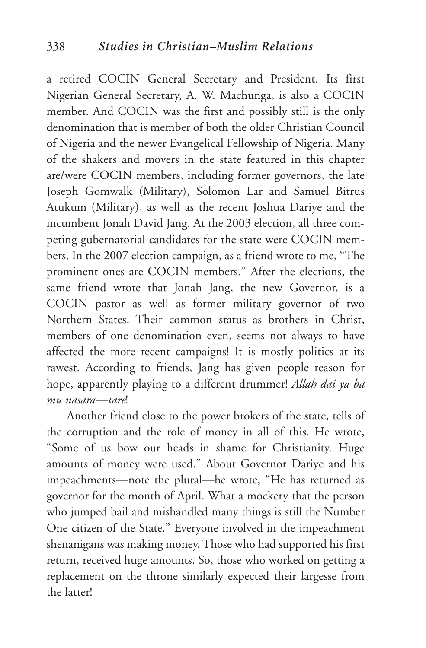a retired COCIN General Secretary and President. Its first Nigerian General Secretary, A. W. Machunga, is also a COCIN member. And COCIN was the first and possibly still is the only denomination that is member of both the older Christian Council of Nigeria and the newer Evangelical Fellowship of Nigeria. Many of the shakers and movers in the state featured in this chapter are/were COCIN members, including former governors, the late Joseph Gomwalk (Military), Solomon Lar and Samuel Bitrus Atukum (Military), as well as the recent Joshua Dariye and the incumbent Jonah David Jang. At the 2003 election, all three competing gubernatorial candidates for the state were COCIN members. In the 2007 election campaign, as a friend wrote to me, "The prominent ones are COCIN members." After the elections, the same friend wrote that Jonah Jang, the new Governor, is a COCIN pastor as well as former military governor of two Northern States. Their common status as brothers in Christ, members of one denomination even, seems not always to have affected the more recent campaigns! It is mostly politics at its rawest. According to friends, Jang has given people reason for hope, apparently playing to a different drummer! *Allah dai ya ba mu nasara—tare*!

Another friend close to the power brokers of the state, tells of the corruption and the role of money in all of this. He wrote, "Some of us bow our heads in shame for Christianity. Huge amounts of money were used." About Governor Dariye and his impeachments—note the plural—he wrote, "He has returned as governor for the month of April. What a mockery that the person who jumped bail and mishandled many things is still the Number One citizen of the State." Everyone involved in the impeachment shenanigans was making money. Those who had supported his first return, received huge amounts. So, those who worked on getting a replacement on the throne similarly expected their largesse from the latter!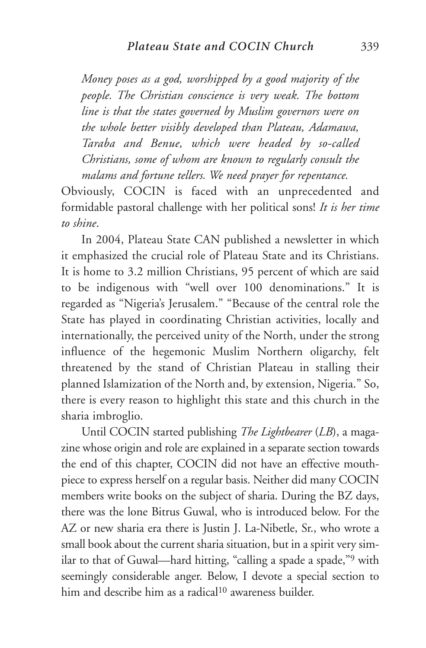*Money poses as a god, worshipped by a good majority of the people. The Christian conscience is very weak. The bottom line is that the states governed by Muslim governors were on the whole better visibly developed than Plateau, Adamawa, Taraba and Benue, which were headed by so-called Christians, some of whom are known to regularly consult the malams and fortune tellers. We need prayer for repentance.*

Obviously, COCIN is faced with an unprecedented and formidable pastoral challenge with her political sons! *It is her time to shine*.

In 2004, Plateau State CAN published a newsletter in which it emphasized the crucial role of Plateau State and its Christians. It is home to 3.2 million Christians, 95 percent of which are said to be indigenous with "well over 100 denominations." It is regarded as "Nigeria's Jerusalem." "Because of the central role the State has played in coordinating Christian activities, locally and internationally, the perceived unity of the North, under the strong influence of the hegemonic Muslim Northern oligarchy, felt threatened by the stand of Christian Plateau in stalling their planned Islamization of the North and, by extension, Nigeria." So, there is every reason to highlight this state and this church in the sharia imbroglio.

Until COCIN started publishing *The Lightbearer* (*LB*), a magazine whose origin and role are explained in a separate section towards the end of this chapter, COCIN did not have an effective mouthpiece to express herself on a regular basis. Neither did many COCIN members write books on the subject of sharia. During the BZ days, there was the lone Bitrus Guwal, who is introduced below. For the AZ or new sharia era there is Justin J. La-Nibetle, Sr., who wrote a small book about the current sharia situation, but in a spirit very similar to that of Guwal—hard hitting, "calling a spade a spade,"9 with seemingly considerable anger. Below, I devote a special section to him and describe him as a radical<sup>10</sup> awareness builder.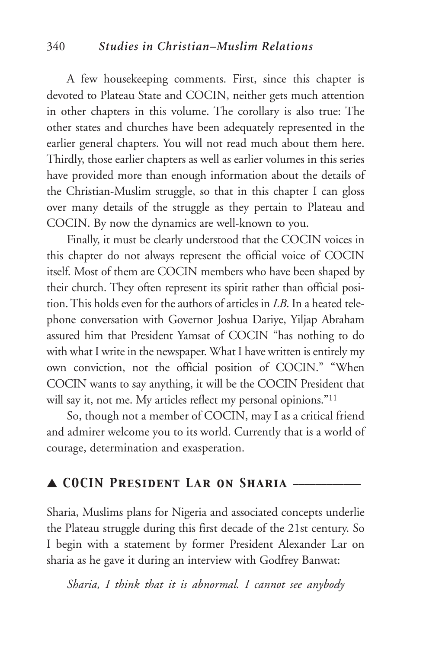A few housekeeping comments. First, since this chapter is devoted to Plateau State and COCIN, neither gets much attention in other chapters in this volume. The corollary is also true: The other states and churches have been adequately represented in the earlier general chapters. You will not read much about them here. Thirdly, those earlier chapters as well as earlier volumes in this series have provided more than enough information about the details of the Christian-Muslim struggle, so that in this chapter I can gloss over many details of the struggle as they pertain to Plateau and COCIN. By now the dynamics are well-known to you.

Finally, it must be clearly understood that the COCIN voices in this chapter do not always represent the official voice of COCIN itself. Most of them are COCIN members who have been shaped by their church. They often represent its spirit rather than official position. This holds even for the authors of articles in *LB*. In a heated telephone conversation with Governor Joshua Dariye, Yiljap Abraham assured him that President Yamsat of COCIN "has nothing to do with what I write in the newspaper. What I have written is entirely my own conviction, not the official position of COCIN." "When COCIN wants to say anything, it will be the COCIN President that will say it, not me. My articles reflect my personal opinions."<sup>11</sup>

So, though not a member of COCIN, may I as a critical friend and admirer welcome you to its world. Currently that is a world of courage, determination and exasperation.

#### ▲ *COCIN President Lar on Sharia* \_\_\_\_\_\_\_\_\_\_\_\_

Sharia, Muslims plans for Nigeria and associated concepts underlie the Plateau struggle during this first decade of the 21st century. So I begin with a statement by former President Alexander Lar on sharia as he gave it during an interview with Godfrey Banwat:

*Sharia, I think that it is abnormal. I cannot see anybody*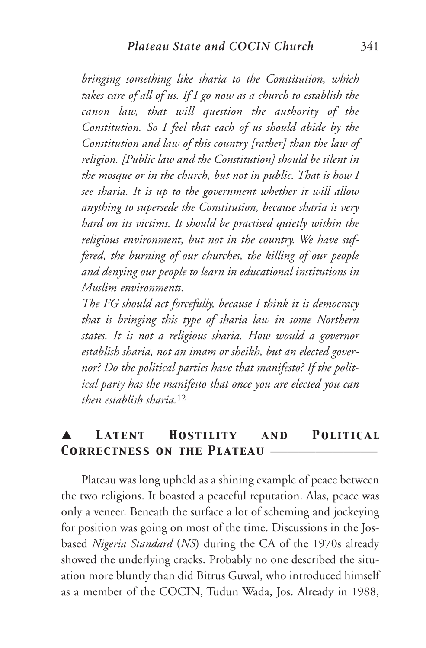*bringing something like sharia to the Constitution, which takes care of all of us. If I go now as a church to establish the canon law, that will question the authority of the Constitution. So I feel that each of us should abide by the Constitution and law of this country [rather] than the law of religion. [Public law and the Constitution] should be silent in the mosque or in the church, but not in public. That is how I see sharia. It is up to the government whether it will allow anything to supersede the Constitution, because sharia is very hard on its victims. It should be practised quietly within the religious environment, but not in the country. We have suffered, the burning of our churches, the killing of our people and denying our people to learn in educational institutions in Muslim environments.*

*The FG should act forcefully, because I think it is democracy that is bringing this type of sharia law in some Northern states. It is not a religious sharia. How would a governor establish sharia, not an imam or sheikh, but an elected governor? Do the political parties have that manifesto? If the political party has the manifesto that once you are elected you can then establish sharia.*<sup>12</sup>

#### LATENT **HOSTILITY** AND **POLITICAL** *Correctness on the Plateau* \_\_\_\_\_\_\_\_\_\_\_\_\_\_\_\_\_\_\_

Plateau was long upheld as a shining example of peace between the two religions. It boasted a peaceful reputation. Alas, peace was only a veneer. Beneath the surface a lot of scheming and jockeying for position was going on most of the time. Discussions in the Josbased *Nigeria Standard* (*NS*) during the CA of the 1970s already showed the underlying cracks. Probably no one described the situation more bluntly than did Bitrus Guwal, who introduced himself as a member of the COCIN, Tudun Wada, Jos. Already in 1988,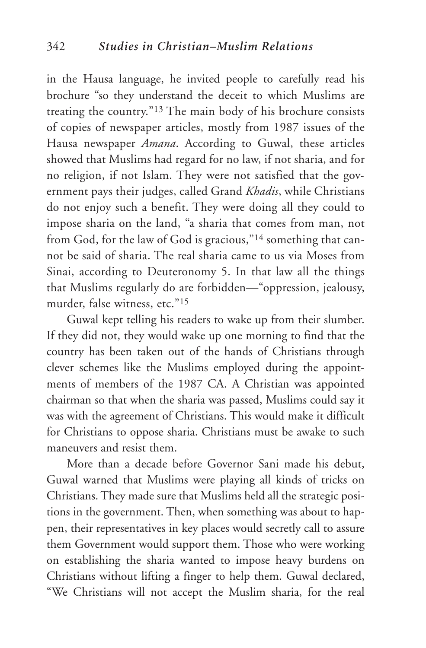in the Hausa language, he invited people to carefully read his brochure "so they understand the deceit to which Muslims are treating the country."13 The main body of his brochure consists of copies of newspaper articles, mostly from 1987 issues of the Hausa newspaper *Amana*. According to Guwal, these articles showed that Muslims had regard for no law, if not sharia, and for no religion, if not Islam. They were not satisfied that the government pays their judges, called Grand *Khadis*, while Christians do not enjoy such a benefit. They were doing all they could to impose sharia on the land, "a sharia that comes from man, not from God, for the law of God is gracious,"14 something that cannot be said of sharia. The real sharia came to us via Moses from Sinai, according to Deuteronomy 5. In that law all the things that Muslims regularly do are forbidden—"oppression, jealousy, murder, false witness, etc."15

Guwal kept telling his readers to wake up from their slumber. If they did not, they would wake up one morning to find that the country has been taken out of the hands of Christians through clever schemes like the Muslims employed during the appointments of members of the 1987 CA. A Christian was appointed chairman so that when the sharia was passed, Muslims could say it was with the agreement of Christians. This would make it difficult for Christians to oppose sharia. Christians must be awake to such maneuvers and resist them.

More than a decade before Governor Sani made his debut, Guwal warned that Muslims were playing all kinds of tricks on Christians. They made sure that Muslims held all the strategic positions in the government. Then, when something was about to happen, their representatives in key places would secretly call to assure them Government would support them. Those who were working on establishing the sharia wanted to impose heavy burdens on Christians without lifting a finger to help them. Guwal declared, "We Christians will not accept the Muslim sharia, for the real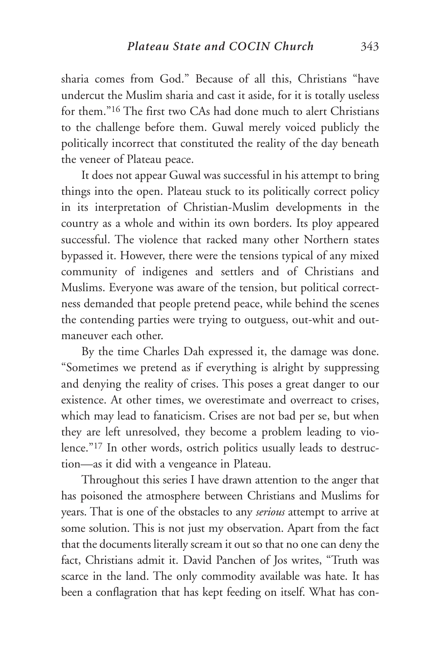sharia comes from God." Because of all this, Christians "have undercut the Muslim sharia and cast it aside, for it is totally useless for them."16 The first two CAs had done much to alert Christians to the challenge before them. Guwal merely voiced publicly the politically incorrect that constituted the reality of the day beneath the veneer of Plateau peace.

It does not appear Guwal was successful in his attempt to bring things into the open. Plateau stuck to its politically correct policy in its interpretation of Christian-Muslim developments in the country as a whole and within its own borders. Its ploy appeared successful. The violence that racked many other Northern states bypassed it. However, there were the tensions typical of any mixed community of indigenes and settlers and of Christians and Muslims. Everyone was aware of the tension, but political correctness demanded that people pretend peace, while behind the scenes the contending parties were trying to outguess, out-whit and outmaneuver each other.

By the time Charles Dah expressed it, the damage was done. "Sometimes we pretend as if everything is alright by suppressing and denying the reality of crises. This poses a great danger to our existence. At other times, we overestimate and overreact to crises, which may lead to fanaticism. Crises are not bad per se, but when they are left unresolved, they become a problem leading to violence."17 In other words, ostrich politics usually leads to destruction—as it did with a vengeance in Plateau.

Throughout this series I have drawn attention to the anger that has poisoned the atmosphere between Christians and Muslims for years. That is one of the obstacles to any *serious* attempt to arrive at some solution. This is not just my observation. Apart from the fact that the documents literally scream it out so that no one can deny the fact, Christians admit it. David Panchen of Jos writes, "Truth was scarce in the land. The only commodity available was hate. It has been a conflagration that has kept feeding on itself. What has con-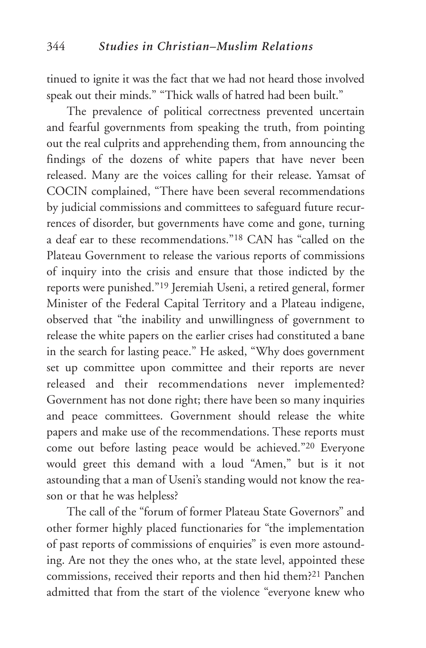tinued to ignite it was the fact that we had not heard those involved speak out their minds." "Thick walls of hatred had been built."

The prevalence of political correctness prevented uncertain and fearful governments from speaking the truth, from pointing out the real culprits and apprehending them, from announcing the findings of the dozens of white papers that have never been released. Many are the voices calling for their release. Yamsat of COCIN complained, "There have been several recommendations by judicial commissions and committees to safeguard future recurrences of disorder, but governments have come and gone, turning a deaf ear to these recommendations."18 CAN has "called on the Plateau Government to release the various reports of commissions of inquiry into the crisis and ensure that those indicted by the reports were punished."19 Jeremiah Useni, a retired general, former Minister of the Federal Capital Territory and a Plateau indigene, observed that "the inability and unwillingness of government to release the white papers on the earlier crises had constituted a bane in the search for lasting peace." He asked, "Why does government set up committee upon committee and their reports are never released and their recommendations never implemented? Government has not done right; there have been so many inquiries and peace committees. Government should release the white papers and make use of the recommendations. These reports must come out before lasting peace would be achieved."20 Everyone would greet this demand with a loud "Amen," but is it not astounding that a man of Useni's standing would not know the reason or that he was helpless?

The call of the "forum of former Plateau State Governors" and other former highly placed functionaries for "the implementation of past reports of commissions of enquiries" is even more astounding. Are not they the ones who, at the state level, appointed these commissions, received their reports and then hid them?21 Panchen admitted that from the start of the violence "everyone knew who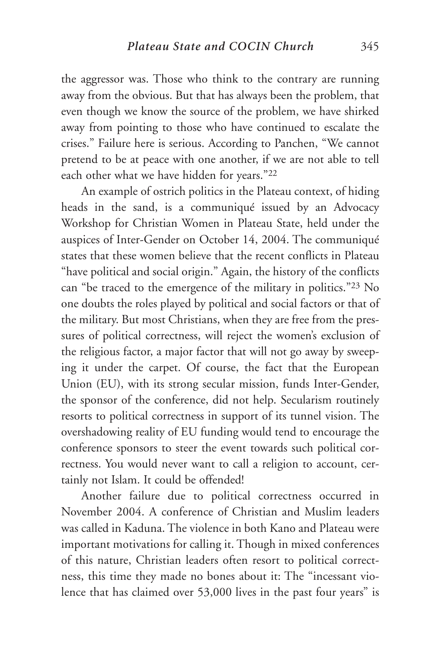the aggressor was. Those who think to the contrary are running away from the obvious. But that has always been the problem, that even though we know the source of the problem, we have shirked away from pointing to those who have continued to escalate the crises." Failure here is serious. According to Panchen, "We cannot pretend to be at peace with one another, if we are not able to tell each other what we have hidden for years."22

An example of ostrich politics in the Plateau context, of hiding heads in the sand, is a communiqué issued by an Advocacy Workshop for Christian Women in Plateau State, held under the auspices of Inter-Gender on October 14, 2004. The communiqué states that these women believe that the recent conflicts in Plateau "have political and social origin." Again, the history of the conflicts can "be traced to the emergence of the military in politics."23 No one doubts the roles played by political and social factors or that of the military. But most Christians, when they are free from the pressures of political correctness, will reject the women's exclusion of the religious factor, a major factor that will not go away by sweeping it under the carpet. Of course, the fact that the European Union (EU), with its strong secular mission, funds Inter-Gender, the sponsor of the conference, did not help. Secularism routinely resorts to political correctness in support of its tunnel vision. The overshadowing reality of EU funding would tend to encourage the conference sponsors to steer the event towards such political correctness. You would never want to call a religion to account, certainly not Islam. It could be offended!

Another failure due to political correctness occurred in November 2004. A conference of Christian and Muslim leaders was called in Kaduna. The violence in both Kano and Plateau were important motivations for calling it. Though in mixed conferences of this nature, Christian leaders often resort to political correctness, this time they made no bones about it: The "incessant violence that has claimed over 53,000 lives in the past four years" is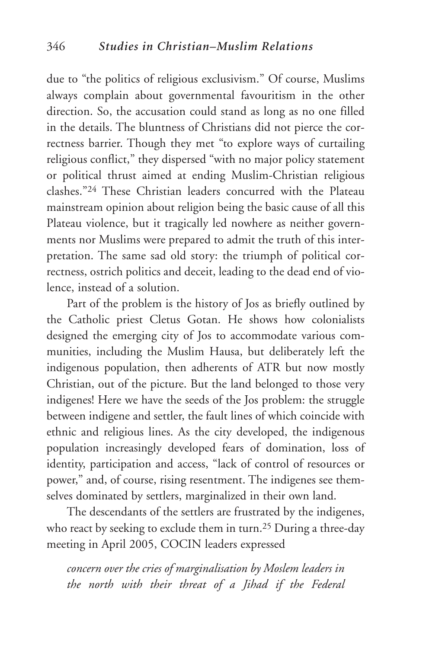due to "the politics of religious exclusivism." Of course, Muslims always complain about governmental favouritism in the other direction. So, the accusation could stand as long as no one filled in the details. The bluntness of Christians did not pierce the correctness barrier. Though they met "to explore ways of curtailing religious conflict," they dispersed "with no major policy statement or political thrust aimed at ending Muslim-Christian religious clashes."24 These Christian leaders concurred with the Plateau mainstream opinion about religion being the basic cause of all this Plateau violence, but it tragically led nowhere as neither governments nor Muslims were prepared to admit the truth of this interpretation. The same sad old story: the triumph of political correctness, ostrich politics and deceit, leading to the dead end of violence, instead of a solution.

Part of the problem is the history of Jos as briefly outlined by the Catholic priest Cletus Gotan. He shows how colonialists designed the emerging city of Jos to accommodate various communities, including the Muslim Hausa, but deliberately left the indigenous population, then adherents of ATR but now mostly Christian, out of the picture. But the land belonged to those very indigenes! Here we have the seeds of the Jos problem: the struggle between indigene and settler, the fault lines of which coincide with ethnic and religious lines. As the city developed, the indigenous population increasingly developed fears of domination, loss of identity, participation and access, "lack of control of resources or power," and, of course, rising resentment. The indigenes see themselves dominated by settlers, marginalized in their own land.

The descendants of the settlers are frustrated by the indigenes, who react by seeking to exclude them in turn.<sup>25</sup> During a three-day meeting in April 2005, COCIN leaders expressed

*concern over the cries of marginalisation by Moslem leaders in the north with their threat of a Jihad if the Federal*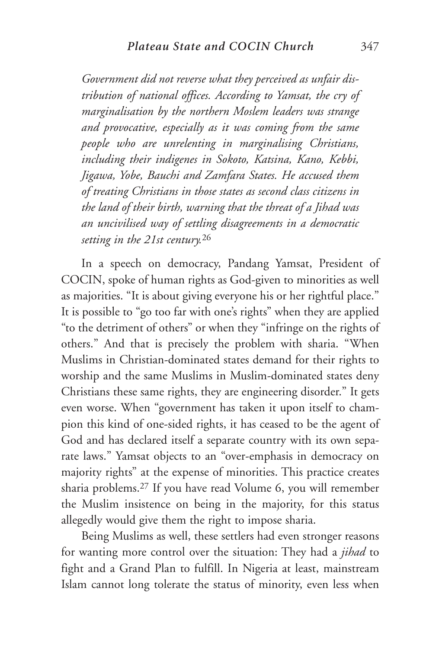*Government did not reverse what they perceived as unfair distribution of national offices. According to Yamsat, the cry of marginalisation by the northern Moslem leaders was strange and provocative, especially as it was coming from the same people who are unrelenting in marginalising Christians, including their indigenes in Sokoto, Katsina, Kano, Kebbi, Jigawa, Yobe, Bauchi and Zamfara States. He accused them of treating Christians in those states as second class citizens in the land of their birth, warning that the threat of a Jihad was an uncivilised way of settling disagreements in a democratic setting in the 21st century.*<sup>26</sup>

In a speech on democracy, Pandang Yamsat, President of COCIN, spoke of human rights as God-given to minorities as well as majorities. "It is about giving everyone his or her rightful place." It is possible to "go too far with one's rights" when they are applied "to the detriment of others" or when they "infringe on the rights of others." And that is precisely the problem with sharia. "When Muslims in Christian-dominated states demand for their rights to worship and the same Muslims in Muslim-dominated states deny Christians these same rights, they are engineering disorder." It gets even worse. When "government has taken it upon itself to champion this kind of one-sided rights, it has ceased to be the agent of God and has declared itself a separate country with its own separate laws." Yamsat objects to an "over-emphasis in democracy on majority rights" at the expense of minorities. This practice creates sharia problems.27 If you have read Volume 6, you will remember the Muslim insistence on being in the majority, for this status allegedly would give them the right to impose sharia.

Being Muslims as well, these settlers had even stronger reasons for wanting more control over the situation: They had a *jihad* to fight and a Grand Plan to fulfill. In Nigeria at least, mainstream Islam cannot long tolerate the status of minority, even less when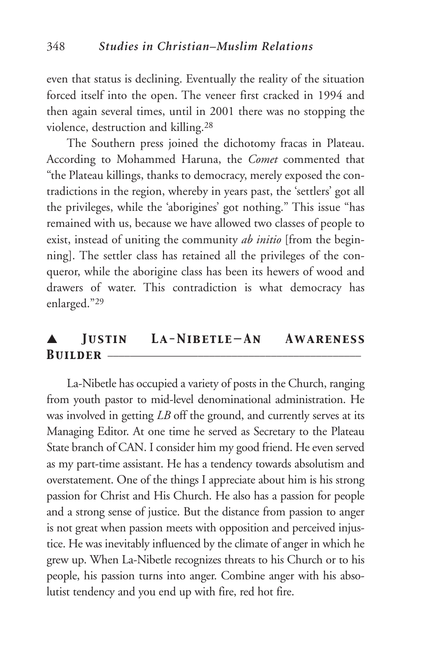even that status is declining. Eventually the reality of the situation forced itself into the open. The veneer first cracked in 1994 and then again several times, until in 2001 there was no stopping the violence, destruction and killing.28

The Southern press joined the dichotomy fracas in Plateau. According to Mohammed Haruna, the *Comet* commented that "the Plateau killings, thanks to democracy, merely exposed the contradictions in the region, whereby in years past, the 'settlers' got all the privileges, while the 'aborigines' got nothing." This issue "has remained with us, because we have allowed two classes of people to exist, instead of uniting the community *ab initio* [from the beginning]. The settler class has retained all the privileges of the conqueror, while the aborigine class has been its hewers of wood and drawers of water. This contradiction is what democracy has enlarged."29

## ▲ *Justin La-Nibetle—An Awareness*  **BUILDER** –

La-Nibetle has occupied a variety of posts in the Church, ranging from youth pastor to mid-level denominational administration. He was involved in getting *LB* off the ground, and currently serves at its Managing Editor. At one time he served as Secretary to the Plateau State branch of CAN. I consider him my good friend. He even served as my part-time assistant. He has a tendency towards absolutism and overstatement. One of the things I appreciate about him is his strong passion for Christ and His Church. He also has a passion for people and a strong sense of justice. But the distance from passion to anger is not great when passion meets with opposition and perceived injustice. He was inevitably influenced by the climate of anger in which he grew up. When La-Nibetle recognizes threats to his Church or to his people, his passion turns into anger. Combine anger with his absolutist tendency and you end up with fire, red hot fire.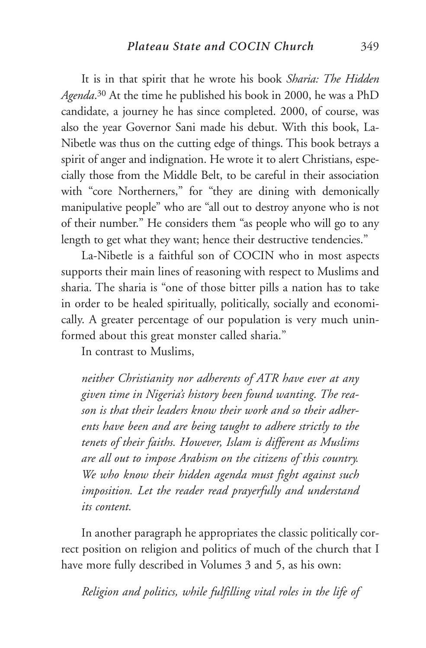It is in that spirit that he wrote his book *Sharia: The Hidden Agenda*. <sup>30</sup> At the time he published his book in 2000, he was a PhD candidate, a journey he has since completed. 2000, of course, was also the year Governor Sani made his debut. With this book, La-Nibetle was thus on the cutting edge of things. This book betrays a spirit of anger and indignation. He wrote it to alert Christians, especially those from the Middle Belt, to be careful in their association with "core Northerners," for "they are dining with demonically manipulative people" who are "all out to destroy anyone who is not of their number." He considers them "as people who will go to any length to get what they want; hence their destructive tendencies."

La-Nibetle is a faithful son of COCIN who in most aspects supports their main lines of reasoning with respect to Muslims and sharia. The sharia is "one of those bitter pills a nation has to take in order to be healed spiritually, politically, socially and economically. A greater percentage of our population is very much uninformed about this great monster called sharia."

In contrast to Muslims,

*neither Christianity nor adherents of ATR have ever at any given time in Nigeria's history been found wanting. The reason is that their leaders know their work and so their adherents have been and are being taught to adhere strictly to the tenets of their faiths. However, Islam is different as Muslims are all out to impose Arabism on the citizens of this country. We who know their hidden agenda must fight against such imposition. Let the reader read prayerfully and understand its content.*

In another paragraph he appropriates the classic politically correct position on religion and politics of much of the church that I have more fully described in Volumes 3 and 5, as his own:

*Religion and politics, while fulfilling vital roles in the life of*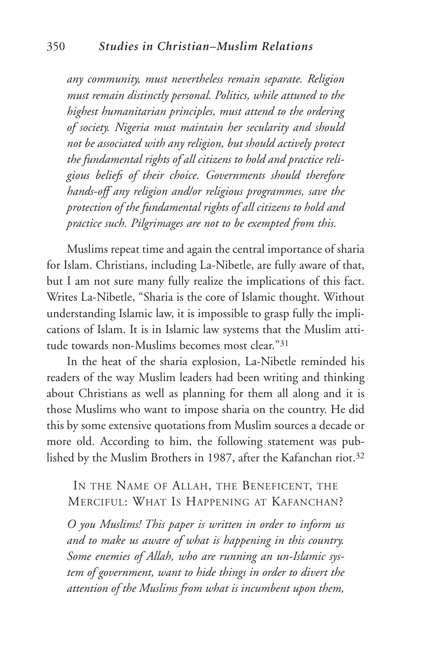*any community, must nevertheless remain separate. Religion must remain distinctly personal. Politics, while attuned to the highest humanitarian principles, must attend to the ordering of society. Nigeria must maintain her secularity and should not be associated with any religion, but should actively protect the fundamental rights of all citizens to hold and practice religious beliefs of their choice. Governments should therefore hands-off any religion and/or religious programmes, save the protection of the fundamental rights of all citizens to hold and practice such. Pilgrimages are not to be exempted from this.*

Muslims repeat time and again the central importance of sharia for Islam. Christians, including La-Nibetle, are fully aware of that, but I am not sure many fully realize the implications of this fact. Writes La-Nibetle, "Sharia is the core of Islamic thought. Without understanding Islamic law, it is impossible to grasp fully the implications of Islam. It is in Islamic law systems that the Muslim attitude towards non-Muslims becomes most clear."31

In the heat of the sharia explosion, La-Nibetle reminded his readers of the way Muslim leaders had been writing and thinking about Christians as well as planning for them all along and it is those Muslims who want to impose sharia on the country. He did this by some extensive quotations from Muslim sources a decade or more old. According to him, the following statement was published by the Muslim Brothers in 1987, after the Kafanchan riot.32

#### IN THE NAME OF ALLAH, THE BENEFICENT, THE MERCIFUL: WHAT IS HAPPENING AT KAFANCHAN?

*O you Muslims! This paper is written in order to inform us and to make us aware of what is happening in this country. Some enemies of Allah, who are running an un-Islamic system of government, want to hide things in order to divert the attention of the Muslims from what is incumbent upon them,*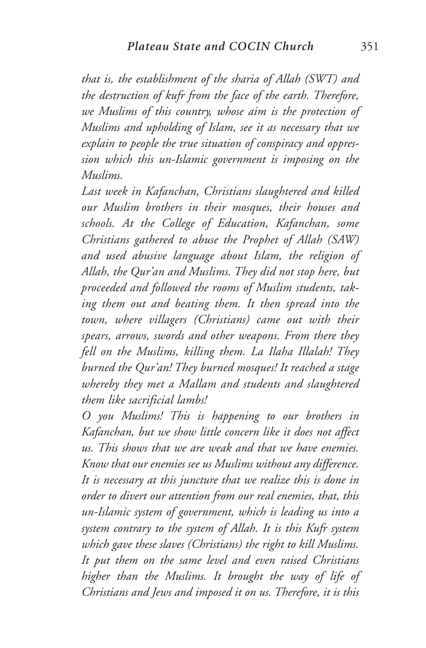*that is, the establishment of the sharia of Allah (SWT) and the destruction of kufr from the face of the earth. Therefore, we Muslims of this country, whose aim is the protection of Muslims and upholding of Islam, see it as necessary that we explain to people the true situation of conspiracy and oppression which this un-Islamic government is imposing on the Muslims.*

*Last week in Kafanchan, Christians slaughtered and killed our Muslim brothers in their mosques, their houses and schools. At the College of Education, Kafanchan, some Christians gathered to abuse the Prophet of Allah (SAW) and used abusive language about Islam, the religion of Allah, the Qur'an and Muslims. They did not stop here, but proceeded and followed the rooms of Muslim students, taking them out and beating them. It then spread into the town, where villagers (Christians) came out with their spears, arrows, swords and other weapons. From there they fell on the Muslims, killing them. La Ilaha Illalah! They burned the Qur'an! They burned mosques! It reached a stage whereby they met a Mallam and students and slaughtered them like sacrificial lambs!*

*O you Muslims! This is happening to our brothers in Kafanchan, but we show little concern like it does not affect us. This shows that we are weak and that we have enemies. Know that our enemies see us Muslims without any difference. It is necessary at this juncture that we realize this is done in order to divert our attention from our real enemies, that, this un-Islamic system of government, which is leading us into a system contrary to the system of Allah. It is this Kufr system which gave these slaves (Christians) the right to kill Muslims. It put them on the same level and even raised Christians higher than the Muslims. It brought the way of life of Christians and Jews and imposed it on us. Therefore, it is this*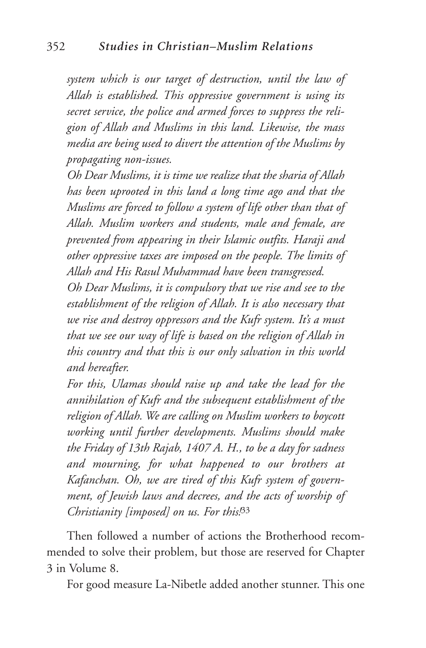*system which is our target of destruction, until the law of Allah is established. This oppressive government is using its secret service, the police and armed forces to suppress the religion of Allah and Muslims in this land. Likewise, the mass media are being used to divert the attention of the Muslims by propagating non-issues.*

*Oh Dear Muslims, it is time we realize that the sharia of Allah has been uprooted in this land a long time ago and that the Muslims are forced to follow a system of life other than that of Allah. Muslim workers and students, male and female, are prevented from appearing in their Islamic outfits. Haraji and other oppressive taxes are imposed on the people. The limits of Allah and His Rasul Muhammad have been transgressed.*

*Oh Dear Muslims, it is compulsory that we rise and see to the establishment of the religion of Allah. It is also necessary that we rise and destroy oppressors and the Kufr system. It's a must that we see our way of life is based on the religion of Allah in this country and that this is our only salvation in this world and hereafter.*

*For this, Ulamas should raise up and take the lead for the annihilation of Kufr and the subsequent establishment of the religion of Allah. We are calling on Muslim workers to boycott working until further developments. Muslims should make the Friday of 13th Rajab, 1407 A. H., to be a day for sadness and mourning, for what happened to our brothers at Kafanchan. Oh, we are tired of this Kufr system of government, of Jewish laws and decrees, and the acts of worship of Christianity [imposed] on us. For this!*<sup>33</sup>

Then followed a number of actions the Brotherhood recommended to solve their problem, but those are reserved for Chapter 3 in Volume 8.

For good measure La-Nibetle added another stunner. This one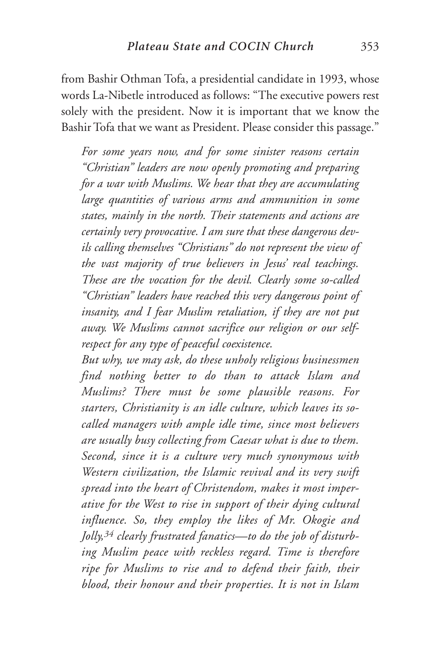from Bashir Othman Tofa, a presidential candidate in 1993, whose words La-Nibetle introduced as follows: "The executive powers rest solely with the president. Now it is important that we know the Bashir Tofa that we want as President. Please consider this passage."

*For some years now, and for some sinister reasons certain "Christian" leaders are now openly promoting and preparing for a war with Muslims. We hear that they are accumulating large quantities of various arms and ammunition in some states, mainly in the north. Their statements and actions are certainly very provocative. I am sure that these dangerous devils calling themselves "Christians" do not represent the view of the vast majority of true believers in Jesus' real teachings. These are the vocation for the devil. Clearly some so-called "Christian" leaders have reached this very dangerous point of insanity, and I fear Muslim retaliation, if they are not put away. We Muslims cannot sacrifice our religion or our selfrespect for any type of peaceful coexistence.*

*But why, we may ask, do these unholy religious businessmen find nothing better to do than to attack Islam and Muslims? There must be some plausible reasons. For starters, Christianity is an idle culture, which leaves its socalled managers with ample idle time, since most believers are usually busy collecting from Caesar what is due to them. Second, since it is a culture very much synonymous with Western civilization, the Islamic revival and its very swift spread into the heart of Christendom, makes it most imperative for the West to rise in support of their dying cultural influence. So, they employ the likes of Mr. Okogie and Jolly,34 clearly frustrated fanatics—to do the job of disturbing Muslim peace with reckless regard. Time is therefore ripe for Muslims to rise and to defend their faith, their blood, their honour and their properties. It is not in Islam*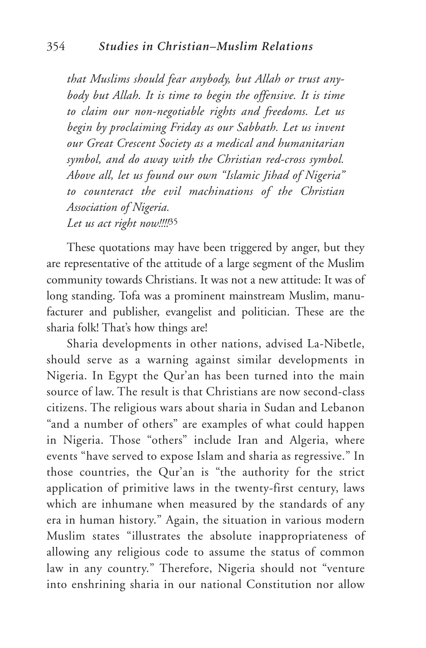*that Muslims should fear anybody, but Allah or trust anybody but Allah. It is time to begin the offensive. It is time to claim our non-negotiable rights and freedoms. Let us begin by proclaiming Friday as our Sabbath. Let us invent our Great Crescent Society as a medical and humanitarian symbol, and do away with the Christian red-cross symbol. Above all, let us found our own "Islamic Jihad of Nigeria" to counteract the evil machinations of the Christian Association of Nigeria. Let us act right now!!!!*<sup>35</sup>

These quotations may have been triggered by anger, but they are representative of the attitude of a large segment of the Muslim community towards Christians. It was not a new attitude: It was of long standing. Tofa was a prominent mainstream Muslim, manufacturer and publisher, evangelist and politician. These are the sharia folk! That's how things are!

Sharia developments in other nations, advised La-Nibetle, should serve as a warning against similar developments in Nigeria. In Egypt the Qur'an has been turned into the main source of law. The result is that Christians are now second-class citizens. The religious wars about sharia in Sudan and Lebanon "and a number of others" are examples of what could happen in Nigeria. Those "others" include Iran and Algeria, where events "have served to expose Islam and sharia as regressive." In those countries, the Qur'an is "the authority for the strict application of primitive laws in the twenty-first century, laws which are inhumane when measured by the standards of any era in human history." Again, the situation in various modern Muslim states "illustrates the absolute inappropriateness of allowing any religious code to assume the status of common law in any country." Therefore, Nigeria should not "venture into enshrining sharia in our national Constitution nor allow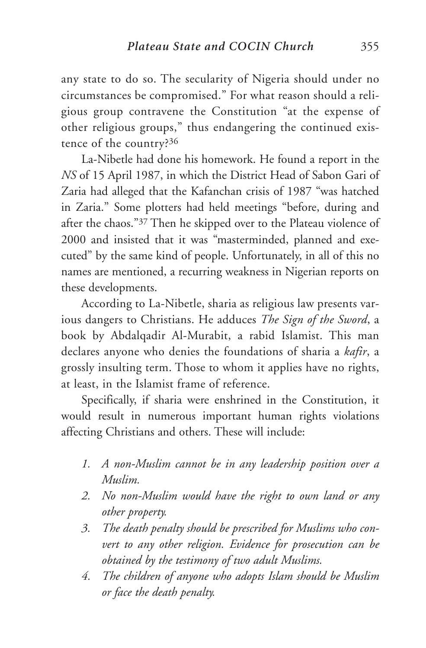any state to do so. The secularity of Nigeria should under no circumstances be compromised." For what reason should a religious group contravene the Constitution "at the expense of other religious groups," thus endangering the continued existence of the country?36

La-Nibetle had done his homework. He found a report in the *NS* of 15 April 1987, in which the District Head of Sabon Gari of Zaria had alleged that the Kafanchan crisis of 1987 "was hatched in Zaria." Some plotters had held meetings "before, during and after the chaos."37 Then he skipped over to the Plateau violence of 2000 and insisted that it was "masterminded, planned and executed" by the same kind of people. Unfortunately, in all of this no names are mentioned, a recurring weakness in Nigerian reports on these developments.

According to La-Nibetle, sharia as religious law presents various dangers to Christians. He adduces *The Sign of the Sword*, a book by Abdalqadir Al-Murabit, a rabid Islamist. This man declares anyone who denies the foundations of sharia a *kafir*, a grossly insulting term. Those to whom it applies have no rights, at least, in the Islamist frame of reference.

Specifically, if sharia were enshrined in the Constitution, it would result in numerous important human rights violations affecting Christians and others. These will include:

- *1. A non-Muslim cannot be in any leadership position over a Muslim.*
- *2. No non-Muslim would have the right to own land or any other property.*
- *3. The death penalty should be prescribed for Muslims who convert to any other religion. Evidence for prosecution can be obtained by the testimony of two adult Muslims.*
- *4. The children of anyone who adopts Islam should be Muslim or face the death penalty.*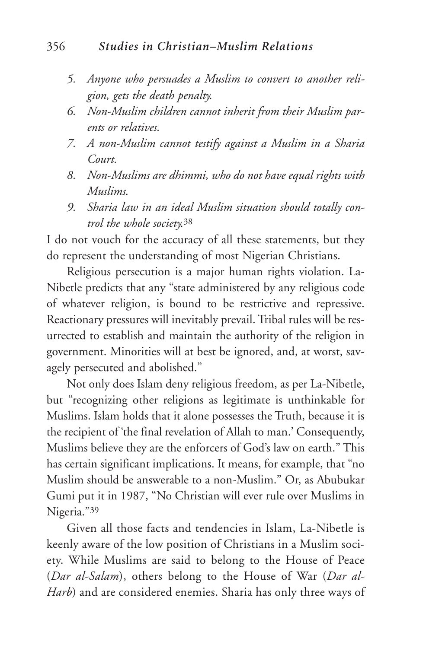#### 356 *Studies in Christian–Muslim Relations*

- *5. Anyone who persuades a Muslim to convert to another religion, gets the death penalty.*
- *6. Non-Muslim children cannot inherit from their Muslim parents or relatives.*
- *7. A non-Muslim cannot testify against a Muslim in a Sharia Court.*
- *8. Non-Muslims are dhimmi, who do not have equal rights with Muslims.*
- *9. Sharia law in an ideal Muslim situation should totally control the whole society.*<sup>38</sup>

I do not vouch for the accuracy of all these statements, but they do represent the understanding of most Nigerian Christians.

Religious persecution is a major human rights violation. La-Nibetle predicts that any "state administered by any religious code of whatever religion, is bound to be restrictive and repressive. Reactionary pressures will inevitably prevail. Tribal rules will be resurrected to establish and maintain the authority of the religion in government. Minorities will at best be ignored, and, at worst, savagely persecuted and abolished."

Not only does Islam deny religious freedom, as per La-Nibetle, but "recognizing other religions as legitimate is unthinkable for Muslims. Islam holds that it alone possesses the Truth, because it is the recipient of 'the final revelation of Allah to man.' Consequently, Muslims believe they are the enforcers of God's law on earth." This has certain significant implications. It means, for example, that "no Muslim should be answerable to a non-Muslim." Or, as Abubukar Gumi put it in 1987, "No Christian will ever rule over Muslims in Nigeria."39

Given all those facts and tendencies in Islam, La-Nibetle is keenly aware of the low position of Christians in a Muslim society. While Muslims are said to belong to the House of Peace (*Dar al-Salam*), others belong to the House of War (*Dar al-Harb*) and are considered enemies. Sharia has only three ways of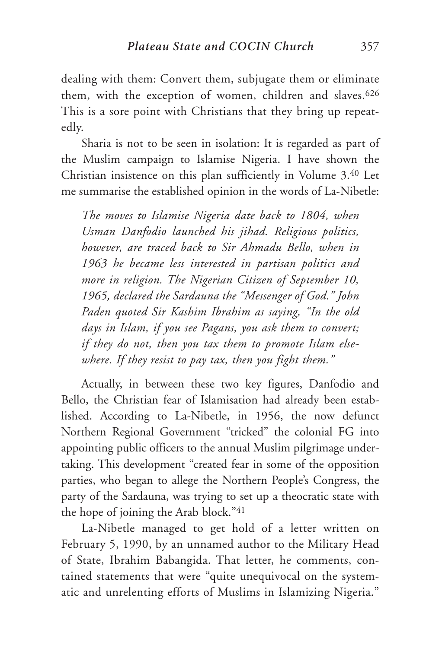dealing with them: Convert them, subjugate them or eliminate them, with the exception of women, children and slaves.<sup>626</sup> This is a sore point with Christians that they bring up repeatedly.

Sharia is not to be seen in isolation: It is regarded as part of the Muslim campaign to Islamise Nigeria. I have shown the Christian insistence on this plan sufficiently in Volume 3.40 Let me summarise the established opinion in the words of La-Nibetle:

*The moves to Islamise Nigeria date back to 1804, when Usman Danfodio launched his jihad. Religious politics, however, are traced back to Sir Ahmadu Bello, when in 1963 he became less interested in partisan politics and more in religion. The Nigerian Citizen of September 10, 1965, declared the Sardauna the "Messenger of God." John Paden quoted Sir Kashim Ibrahim as saying, "In the old days in Islam, if you see Pagans, you ask them to convert; if they do not, then you tax them to promote Islam elsewhere. If they resist to pay tax, then you fight them."*

Actually, in between these two key figures, Danfodio and Bello, the Christian fear of Islamisation had already been established. According to La-Nibetle, in 1956, the now defunct Northern Regional Government "tricked" the colonial FG into appointing public officers to the annual Muslim pilgrimage undertaking. This development "created fear in some of the opposition parties, who began to allege the Northern People's Congress, the party of the Sardauna, was trying to set up a theocratic state with the hope of joining the Arab block."41

La-Nibetle managed to get hold of a letter written on February 5, 1990, by an unnamed author to the Military Head of State, Ibrahim Babangida. That letter, he comments, contained statements that were "quite unequivocal on the systematic and unrelenting efforts of Muslims in Islamizing Nigeria."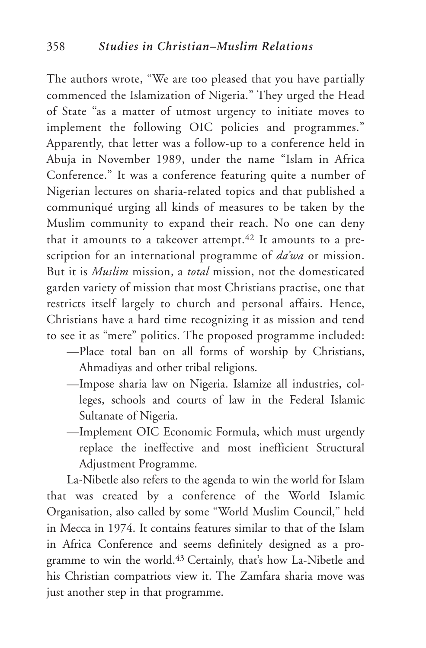The authors wrote, "We are too pleased that you have partially commenced the Islamization of Nigeria." They urged the Head of State "as a matter of utmost urgency to initiate moves to implement the following OIC policies and programmes." Apparently, that letter was a follow-up to a conference held in Abuja in November 1989, under the name "Islam in Africa Conference." It was a conference featuring quite a number of Nigerian lectures on sharia-related topics and that published a communiqué urging all kinds of measures to be taken by the Muslim community to expand their reach. No one can deny that it amounts to a takeover attempt.<sup>42</sup> It amounts to a prescription for an international programme of *da'wa* or mission. But it is *Muslim* mission, a *total* mission, not the domesticated garden variety of mission that most Christians practise, one that restricts itself largely to church and personal affairs. Hence, Christians have a hard time recognizing it as mission and tend to see it as "mere" politics. The proposed programme included:

- —Place total ban on all forms of worship by Christians, Ahmadiyas and other tribal religions.
- —Impose sharia law on Nigeria. Islamize all industries, colleges, schools and courts of law in the Federal Islamic Sultanate of Nigeria.
- —Implement OIC Economic Formula, which must urgently replace the ineffective and most inefficient Structural Adjustment Programme.

La-Nibetle also refers to the agenda to win the world for Islam that was created by a conference of the World Islamic Organisation, also called by some "World Muslim Council," held in Mecca in 1974. It contains features similar to that of the Islam in Africa Conference and seems definitely designed as a programme to win the world.43 Certainly, that's how La-Nibetle and his Christian compatriots view it. The Zamfara sharia move was just another step in that programme.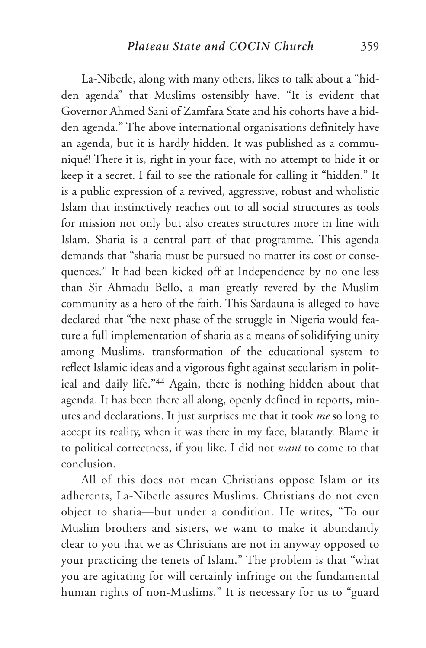La-Nibetle, along with many others, likes to talk about a "hidden agenda" that Muslims ostensibly have. "It is evident that Governor Ahmed Sani of Zamfara State and his cohorts have a hidden agenda." The above international organisations definitely have an agenda, but it is hardly hidden. It was published as a communiqué! There it is, right in your face, with no attempt to hide it or keep it a secret. I fail to see the rationale for calling it "hidden." It is a public expression of a revived, aggressive, robust and wholistic Islam that instinctively reaches out to all social structures as tools for mission not only but also creates structures more in line with Islam. Sharia is a central part of that programme. This agenda demands that "sharia must be pursued no matter its cost or consequences." It had been kicked off at Independence by no one less than Sir Ahmadu Bello, a man greatly revered by the Muslim community as a hero of the faith. This Sardauna is alleged to have declared that "the next phase of the struggle in Nigeria would feature a full implementation of sharia as a means of solidifying unity among Muslims, transformation of the educational system to reflect Islamic ideas and a vigorous fight against secularism in political and daily life."44 Again, there is nothing hidden about that agenda. It has been there all along, openly defined in reports, minutes and declarations. It just surprises me that it took *me* so long to accept its reality, when it was there in my face, blatantly. Blame it to political correctness, if you like. I did not *want* to come to that conclusion.

All of this does not mean Christians oppose Islam or its adherents, La-Nibetle assures Muslims. Christians do not even object to sharia—but under a condition. He writes, "To our Muslim brothers and sisters, we want to make it abundantly clear to you that we as Christians are not in anyway opposed to your practicing the tenets of Islam." The problem is that "what you are agitating for will certainly infringe on the fundamental human rights of non-Muslims." It is necessary for us to "guard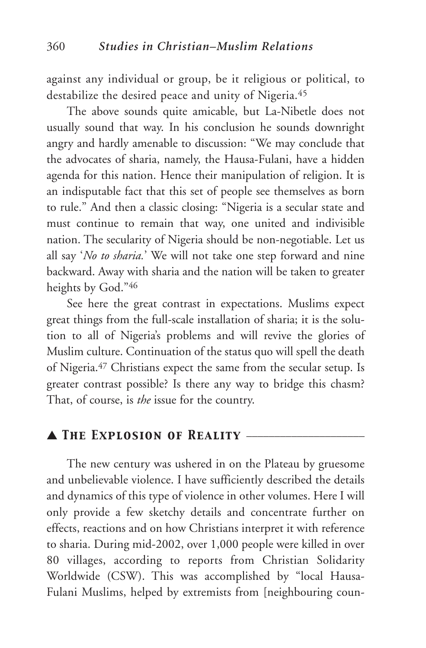against any individual or group, be it religious or political, to destabilize the desired peace and unity of Nigeria.45

The above sounds quite amicable, but La-Nibetle does not usually sound that way. In his conclusion he sounds downright angry and hardly amenable to discussion: "We may conclude that the advocates of sharia, namely, the Hausa-Fulani, have a hidden agenda for this nation. Hence their manipulation of religion. It is an indisputable fact that this set of people see themselves as born to rule." And then a classic closing: "Nigeria is a secular state and must continue to remain that way, one united and indivisible nation. The secularity of Nigeria should be non-negotiable. Let us all say '*No to sharia.*' We will not take one step forward and nine backward. Away with sharia and the nation will be taken to greater heights by God."46

See here the great contrast in expectations. Muslims expect great things from the full-scale installation of sharia; it is the solution to all of Nigeria's problems and will revive the glories of Muslim culture. Continuation of the status quo will spell the death of Nigeria.47 Christians expect the same from the secular setup. Is greater contrast possible? Is there any way to bridge this chasm? That, of course, is *the* issue for the country.

#### ▲ *The Explosion of Reality* \_\_\_\_\_\_\_\_\_\_\_\_\_\_\_\_\_\_\_\_\_

The new century was ushered in on the Plateau by gruesome and unbelievable violence. I have sufficiently described the details and dynamics of this type of violence in other volumes. Here I will only provide a few sketchy details and concentrate further on effects, reactions and on how Christians interpret it with reference to sharia. During mid-2002, over 1,000 people were killed in over 80 villages, according to reports from Christian Solidarity Worldwide (CSW). This was accomplished by "local Hausa-Fulani Muslims, helped by extremists from [neighbouring coun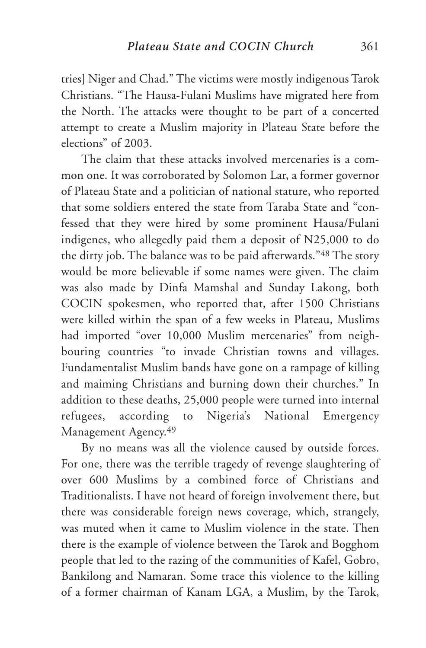tries] Niger and Chad." The victims were mostly indigenous Tarok Christians. "The Hausa-Fulani Muslims have migrated here from the North. The attacks were thought to be part of a concerted attempt to create a Muslim majority in Plateau State before the elections" of 2003.

The claim that these attacks involved mercenaries is a common one. It was corroborated by Solomon Lar, a former governor of Plateau State and a politician of national stature, who reported that some soldiers entered the state from Taraba State and "confessed that they were hired by some prominent Hausa/Fulani indigenes, who allegedly paid them a deposit of N25,000 to do the dirty job. The balance was to be paid afterwards."48 The story would be more believable if some names were given. The claim was also made by Dinfa Mamshal and Sunday Lakong, both COCIN spokesmen, who reported that, after 1500 Christians were killed within the span of a few weeks in Plateau, Muslims had imported "over 10,000 Muslim mercenaries" from neighbouring countries "to invade Christian towns and villages. Fundamentalist Muslim bands have gone on a rampage of killing and maiming Christians and burning down their churches." In addition to these deaths, 25,000 people were turned into internal refugees, according to Nigeria's National Emergency Management Agency.49

By no means was all the violence caused by outside forces. For one, there was the terrible tragedy of revenge slaughtering of over 600 Muslims by a combined force of Christians and Traditionalists. I have not heard of foreign involvement there, but there was considerable foreign news coverage, which, strangely, was muted when it came to Muslim violence in the state. Then there is the example of violence between the Tarok and Bogghom people that led to the razing of the communities of Kafel, Gobro, Bankilong and Namaran. Some trace this violence to the killing of a former chairman of Kanam LGA, a Muslim, by the Tarok,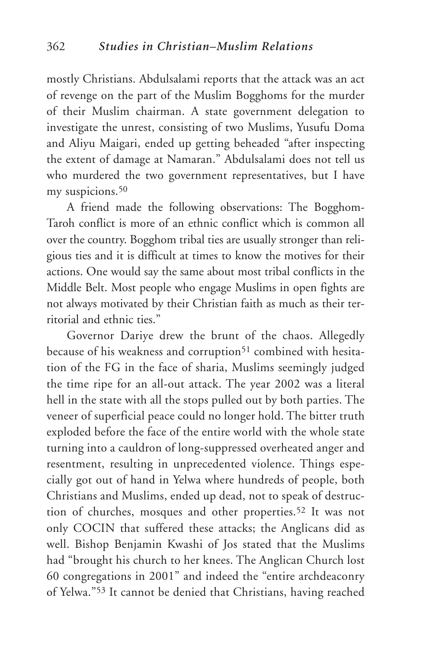mostly Christians. Abdulsalami reports that the attack was an act of revenge on the part of the Muslim Bogghoms for the murder of their Muslim chairman. A state government delegation to investigate the unrest, consisting of two Muslims, Yusufu Doma and Aliyu Maigari, ended up getting beheaded "after inspecting the extent of damage at Namaran." Abdulsalami does not tell us who murdered the two government representatives, but I have my suspicions.<sup>50</sup>

A friend made the following observations: The Bogghom-Taroh conflict is more of an ethnic conflict which is common all over the country. Bogghom tribal ties are usually stronger than religious ties and it is difficult at times to know the motives for their actions. One would say the same about most tribal conflicts in the Middle Belt. Most people who engage Muslims in open fights are not always motivated by their Christian faith as much as their territorial and ethnic ties."

Governor Dariye drew the brunt of the chaos. Allegedly because of his weakness and corruption<sup>51</sup> combined with hesitation of the FG in the face of sharia, Muslims seemingly judged the time ripe for an all-out attack. The year 2002 was a literal hell in the state with all the stops pulled out by both parties. The veneer of superficial peace could no longer hold. The bitter truth exploded before the face of the entire world with the whole state turning into a cauldron of long-suppressed overheated anger and resentment, resulting in unprecedented violence. Things especially got out of hand in Yelwa where hundreds of people, both Christians and Muslims, ended up dead, not to speak of destruction of churches, mosques and other properties.52 It was not only COCIN that suffered these attacks; the Anglicans did as well. Bishop Benjamin Kwashi of Jos stated that the Muslims had "brought his church to her knees. The Anglican Church lost 60 congregations in 2001" and indeed the "entire archdeaconry of Yelwa."53 It cannot be denied that Christians, having reached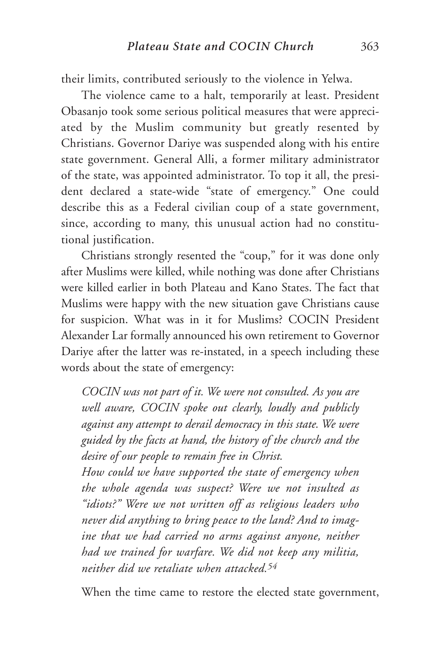their limits, contributed seriously to the violence in Yelwa.

The violence came to a halt, temporarily at least. President Obasanjo took some serious political measures that were appreciated by the Muslim community but greatly resented by Christians. Governor Dariye was suspended along with his entire state government. General Alli, a former military administrator of the state, was appointed administrator. To top it all, the president declared a state-wide "state of emergency." One could describe this as a Federal civilian coup of a state government, since, according to many, this unusual action had no constitutional justification.

Christians strongly resented the "coup," for it was done only after Muslims were killed, while nothing was done after Christians were killed earlier in both Plateau and Kano States. The fact that Muslims were happy with the new situation gave Christians cause for suspicion. What was in it for Muslims? COCIN President Alexander Lar formally announced his own retirement to Governor Dariye after the latter was re-instated, in a speech including these words about the state of emergency:

*COCIN was not part of it. We were not consulted. As you are well aware, COCIN spoke out clearly, loudly and publicly against any attempt to derail democracy in this state. We were guided by the facts at hand, the history of the church and the desire of our people to remain free in Christ.*

*How could we have supported the state of emergency when the whole agenda was suspect? Were we not insulted as "idiots?" Were we not written off as religious leaders who never did anything to bring peace to the land? And to imagine that we had carried no arms against anyone, neither had we trained for warfare. We did not keep any militia, neither did we retaliate when attacked.54*

When the time came to restore the elected state government,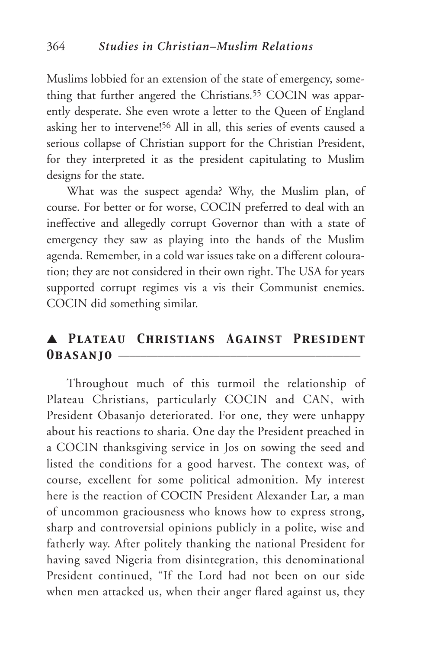Muslims lobbied for an extension of the state of emergency, something that further angered the Christians.<sup>55</sup> COCIN was apparently desperate. She even wrote a letter to the Queen of England asking her to intervene!56 All in all, this series of events caused a serious collapse of Christian support for the Christian President, for they interpreted it as the president capitulating to Muslim designs for the state.

What was the suspect agenda? Why, the Muslim plan, of course. For better or for worse, COCIN preferred to deal with an ineffective and allegedly corrupt Governor than with a state of emergency they saw as playing into the hands of the Muslim agenda. Remember, in a cold war issues take on a different colouration; they are not considered in their own right. The USA for years supported corrupt regimes vis a vis their Communist enemies. COCIN did something similar.

## ▲ *Plateau Christians Against President* 0**BASANJO** –

Throughout much of this turmoil the relationship of Plateau Christians, particularly COCIN and CAN, with President Obasanjo deteriorated. For one, they were unhappy about his reactions to sharia. One day the President preached in a COCIN thanksgiving service in Jos on sowing the seed and listed the conditions for a good harvest. The context was, of course, excellent for some political admonition. My interest here is the reaction of COCIN President Alexander Lar, a man of uncommon graciousness who knows how to express strong, sharp and controversial opinions publicly in a polite, wise and fatherly way. After politely thanking the national President for having saved Nigeria from disintegration, this denominational President continued, "If the Lord had not been on our side when men attacked us, when their anger flared against us, they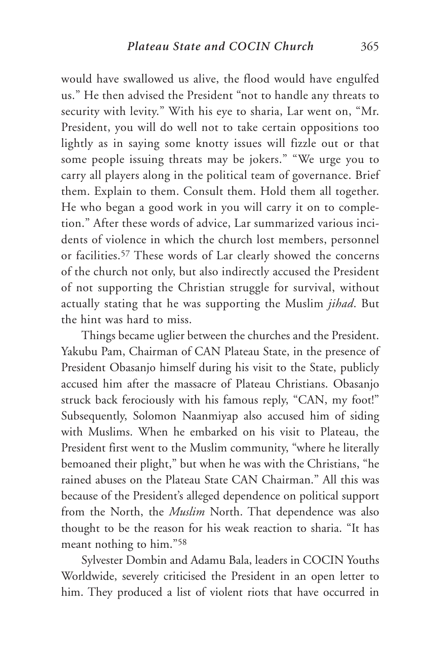would have swallowed us alive, the flood would have engulfed us." He then advised the President "not to handle any threats to security with levity." With his eye to sharia, Lar went on, "Mr. President, you will do well not to take certain oppositions too lightly as in saying some knotty issues will fizzle out or that some people issuing threats may be jokers." "We urge you to carry all players along in the political team of governance. Brief them. Explain to them. Consult them. Hold them all together. He who began a good work in you will carry it on to completion." After these words of advice, Lar summarized various incidents of violence in which the church lost members, personnel or facilities.57 These words of Lar clearly showed the concerns of the church not only, but also indirectly accused the President of not supporting the Christian struggle for survival, without actually stating that he was supporting the Muslim *jihad*. But the hint was hard to miss.

Things became uglier between the churches and the President. Yakubu Pam, Chairman of CAN Plateau State, in the presence of President Obasanjo himself during his visit to the State, publicly accused him after the massacre of Plateau Christians. Obasanjo struck back ferociously with his famous reply, "CAN, my foot!" Subsequently, Solomon Naanmiyap also accused him of siding with Muslims. When he embarked on his visit to Plateau, the President first went to the Muslim community, "where he literally bemoaned their plight," but when he was with the Christians, "he rained abuses on the Plateau State CAN Chairman." All this was because of the President's alleged dependence on political support from the North, the *Muslim* North. That dependence was also thought to be the reason for his weak reaction to sharia. "It has meant nothing to him."58

Sylvester Dombin and Adamu Bala, leaders in COCIN Youths Worldwide, severely criticised the President in an open letter to him. They produced a list of violent riots that have occurred in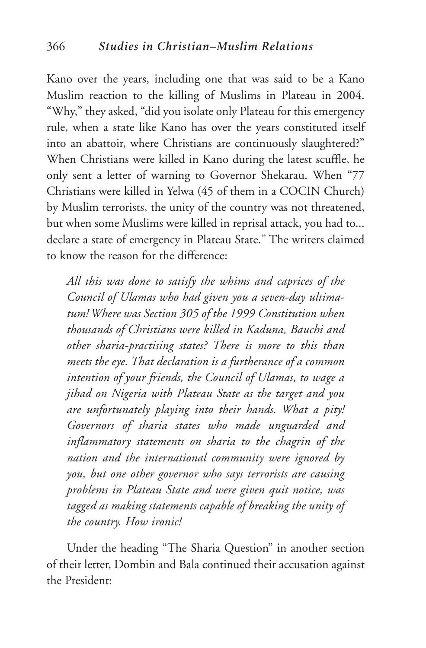Kano over the years, including one that was said to be a Kano Muslim reaction to the killing of Muslims in Plateau in 2004. "Why," they asked, "did you isolate only Plateau for this emergency rule, when a state like Kano has over the years constituted itself into an abattoir, where Christians are continuously slaughtered?" When Christians were killed in Kano during the latest scuffle, he only sent a letter of warning to Governor Shekarau. When "77 Christians were killed in Yelwa (45 of them in a COCIN Church) by Muslim terrorists, the unity of the country was not threatened, but when some Muslims were killed in reprisal attack, you had to... declare a state of emergency in Plateau State." The writers claimed to know the reason for the difference:

*All this was done to satisfy the whims and caprices of the Council of Ulamas who had given you a seven-day ultimatum! Where was Section 305 of the 1999 Constitution when thousands of Christians were killed in Kaduna, Bauchi and other sharia-practising states? There is more to this than meets the eye. That declaration is a furtherance of a common intention of your friends, the Council of Ulamas, to wage a jihad on Nigeria with Plateau State as the target and you are unfortunately playing into their hands. What a pity! Governors of sharia states who made unguarded and inflammatory statements on sharia to the chagrin of the nation and the international community were ignored by you, but one other governor who says terrorists are causing problems in Plateau State and were given quit notice, was tagged as making statements capable of breaking the unity of the country. How ironic!*

Under the heading "The Sharia Question" in another section of their letter, Dombin and Bala continued their accusation against the President: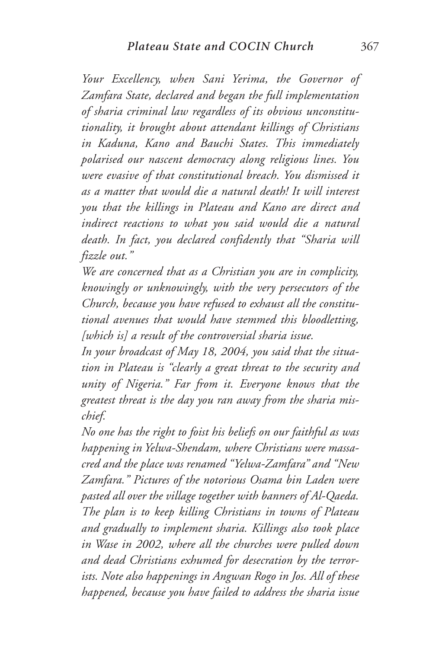*Your Excellency, when Sani Yerima, the Governor of Zamfara State, declared and began the full implementation of sharia criminal law regardless of its obvious unconstitutionality, it brought about attendant killings of Christians in Kaduna, Kano and Bauchi States. This immediately polarised our nascent democracy along religious lines. You were evasive of that constitutional breach. You dismissed it as a matter that would die a natural death! It will interest you that the killings in Plateau and Kano are direct and indirect reactions to what you said would die a natural death. In fact, you declared confidently that "Sharia will fizzle out."*

*We are concerned that as a Christian you are in complicity, knowingly or unknowingly, with the very persecutors of the Church, because you have refused to exhaust all the constitutional avenues that would have stemmed this bloodletting, [which is] a result of the controversial sharia issue.*

*In your broadcast of May 18, 2004, you said that the situation in Plateau is "clearly a great threat to the security and unity of Nigeria." Far from it. Everyone knows that the greatest threat is the day you ran away from the sharia mischief.*

*No one has the right to foist his beliefs on our faithful as was happening in Yelwa-Shendam, where Christians were massacred and the place was renamed "Yelwa-Zamfara" and "New Zamfara." Pictures of the notorious Osama bin Laden were pasted all over the village together with banners of Al-Qaeda. The plan is to keep killing Christians in towns of Plateau and gradually to implement sharia. Killings also took place in Wase in 2002, where all the churches were pulled down and dead Christians exhumed for desecration by the terrorists. Note also happenings in Angwan Rogo in Jos. All of these happened, because you have failed to address the sharia issue*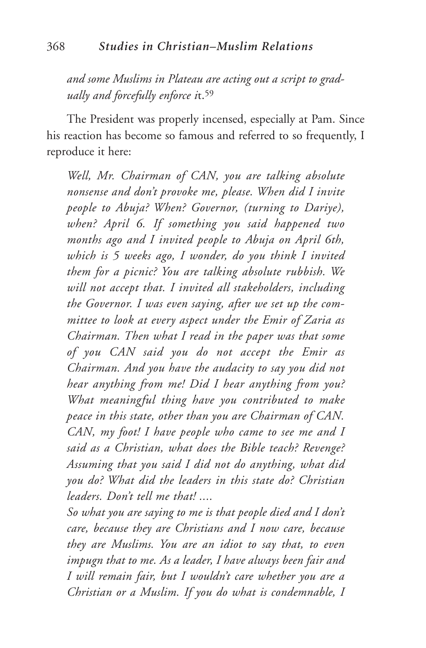*and some Muslims in Plateau are acting out a script to gradually and forcefully enforce i*t.59

The President was properly incensed, especially at Pam. Since his reaction has become so famous and referred to so frequently, I reproduce it here:

*Well, Mr. Chairman of CAN, you are talking absolute nonsense and don't provoke me, please. When did I invite people to Abuja? When? Governor, (turning to Dariye), when? April 6. If something you said happened two months ago and I invited people to Abuja on April 6th, which is 5 weeks ago, I wonder, do you think I invited them for a picnic? You are talking absolute rubbish. We will not accept that. I invited all stakeholders, including the Governor. I was even saying, after we set up the committee to look at every aspect under the Emir of Zaria as Chairman. Then what I read in the paper was that some of you CAN said you do not accept the Emir as Chairman. And you have the audacity to say you did not hear anything from me! Did I hear anything from you? What meaningful thing have you contributed to make peace in this state, other than you are Chairman of CAN. CAN, my foot! I have people who came to see me and I said as a Christian, what does the Bible teach? Revenge? Assuming that you said I did not do anything, what did you do? What did the leaders in this state do? Christian leaders. Don't tell me that! ....*

*So what you are saying to me is that people died and I don't care, because they are Christians and I now care, because they are Muslims. You are an idiot to say that, to even impugn that to me. As a leader, I have always been fair and I will remain fair, but I wouldn't care whether you are a Christian or a Muslim. If you do what is condemnable, I*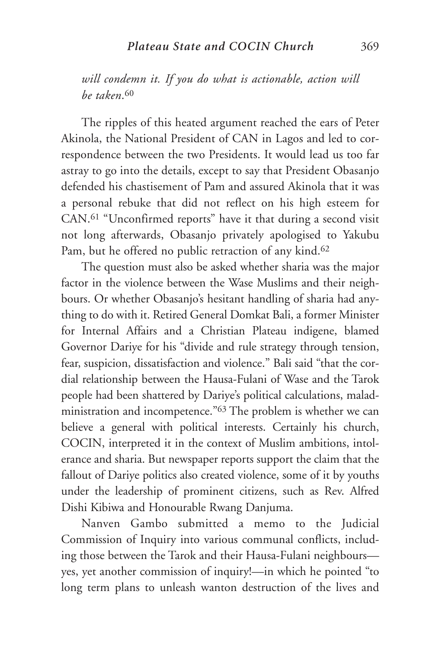*will condemn it. If you do what is actionable, action will be taken*.60

The ripples of this heated argument reached the ears of Peter Akinola, the National President of CAN in Lagos and led to correspondence between the two Presidents. It would lead us too far astray to go into the details, except to say that President Obasanjo defended his chastisement of Pam and assured Akinola that it was a personal rebuke that did not reflect on his high esteem for CAN.61 "Unconfirmed reports" have it that during a second visit not long afterwards, Obasanjo privately apologised to Yakubu Pam, but he offered no public retraction of any kind.62

The question must also be asked whether sharia was the major factor in the violence between the Wase Muslims and their neighbours. Or whether Obasanjo's hesitant handling of sharia had anything to do with it. Retired General Domkat Bali, a former Minister for Internal Affairs and a Christian Plateau indigene, blamed Governor Dariye for his "divide and rule strategy through tension, fear, suspicion, dissatisfaction and violence." Bali said "that the cordial relationship between the Hausa-Fulani of Wase and the Tarok people had been shattered by Dariye's political calculations, maladministration and incompetence."63 The problem is whether we can believe a general with political interests. Certainly his church, COCIN, interpreted it in the context of Muslim ambitions, intolerance and sharia. But newspaper reports support the claim that the fallout of Dariye politics also created violence, some of it by youths under the leadership of prominent citizens, such as Rev. Alfred Dishi Kibiwa and Honourable Rwang Danjuma.

Nanven Gambo submitted a memo to the Judicial Commission of Inquiry into various communal conflicts, including those between the Tarok and their Hausa-Fulani neighbours yes, yet another commission of inquiry!—in which he pointed "to long term plans to unleash wanton destruction of the lives and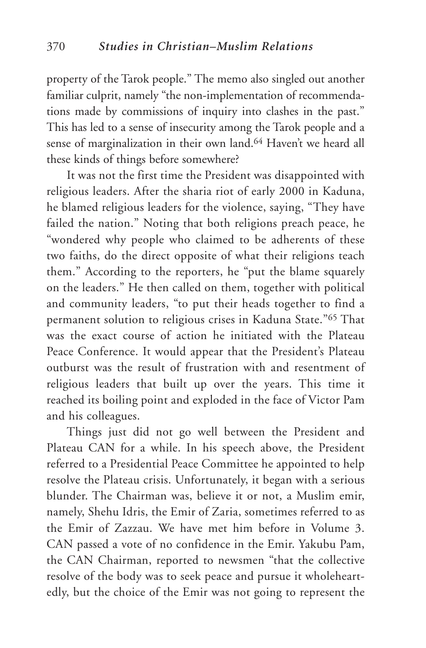property of the Tarok people." The memo also singled out another familiar culprit, namely "the non-implementation of recommendations made by commissions of inquiry into clashes in the past." This has led to a sense of insecurity among the Tarok people and a sense of marginalization in their own land.<sup>64</sup> Haven't we heard all these kinds of things before somewhere?

It was not the first time the President was disappointed with religious leaders. After the sharia riot of early 2000 in Kaduna, he blamed religious leaders for the violence, saying, "They have failed the nation." Noting that both religions preach peace, he "wondered why people who claimed to be adherents of these two faiths, do the direct opposite of what their religions teach them." According to the reporters, he "put the blame squarely on the leaders." He then called on them, together with political and community leaders, "to put their heads together to find a permanent solution to religious crises in Kaduna State."65 That was the exact course of action he initiated with the Plateau Peace Conference. It would appear that the President's Plateau outburst was the result of frustration with and resentment of religious leaders that built up over the years. This time it reached its boiling point and exploded in the face of Victor Pam and his colleagues.

Things just did not go well between the President and Plateau CAN for a while. In his speech above, the President referred to a Presidential Peace Committee he appointed to help resolve the Plateau crisis. Unfortunately, it began with a serious blunder. The Chairman was, believe it or not, a Muslim emir, namely, Shehu Idris, the Emir of Zaria, sometimes referred to as the Emir of Zazzau. We have met him before in Volume 3. CAN passed a vote of no confidence in the Emir. Yakubu Pam, the CAN Chairman, reported to newsmen "that the collective resolve of the body was to seek peace and pursue it wholeheartedly, but the choice of the Emir was not going to represent the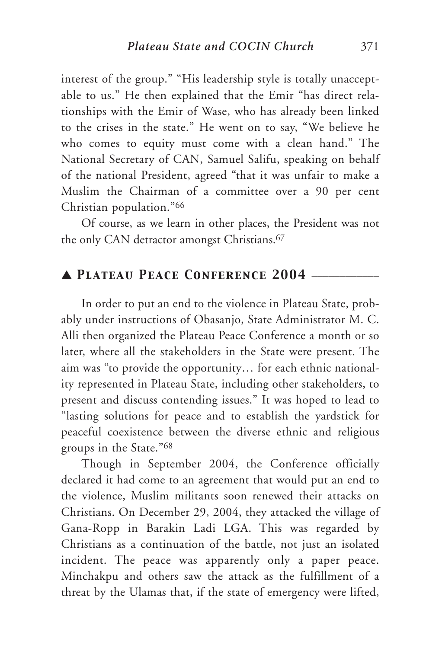interest of the group." "His leadership style is totally unacceptable to us." He then explained that the Emir "has direct relationships with the Emir of Wase, who has already been linked to the crises in the state." He went on to say, "We believe he who comes to equity must come with a clean hand." The National Secretary of CAN, Samuel Salifu, speaking on behalf of the national President, agreed "that it was unfair to make a Muslim the Chairman of a committee over a 90 per cent Christian population."66

Of course, as we learn in other places, the President was not the only CAN detractor amongst Christians.<sup>67</sup>

# ▲ *Plateau Peace Conference 2004* \_\_\_\_\_\_\_\_\_\_\_\_

In order to put an end to the violence in Plateau State, probably under instructions of Obasanjo, State Administrator M. C. Alli then organized the Plateau Peace Conference a month or so later, where all the stakeholders in the State were present. The aim was "to provide the opportunity… for each ethnic nationality represented in Plateau State, including other stakeholders, to present and discuss contending issues." It was hoped to lead to "lasting solutions for peace and to establish the yardstick for peaceful coexistence between the diverse ethnic and religious groups in the State."68

Though in September 2004, the Conference officially declared it had come to an agreement that would put an end to the violence, Muslim militants soon renewed their attacks on Christians. On December 29, 2004, they attacked the village of Gana-Ropp in Barakin Ladi LGA. This was regarded by Christians as a continuation of the battle, not just an isolated incident. The peace was apparently only a paper peace. Minchakpu and others saw the attack as the fulfillment of a threat by the Ulamas that, if the state of emergency were lifted,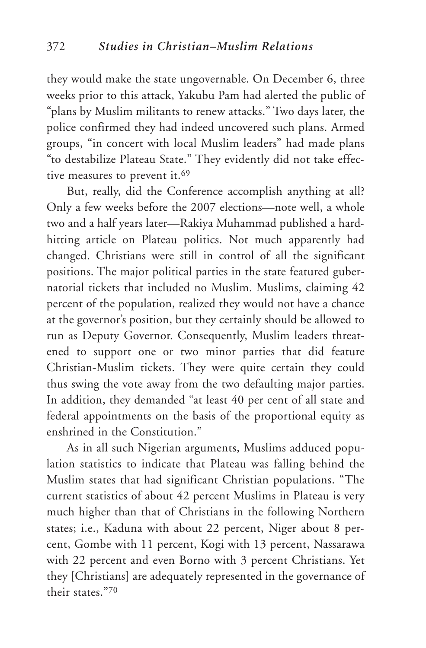they would make the state ungovernable. On December 6, three weeks prior to this attack, Yakubu Pam had alerted the public of "plans by Muslim militants to renew attacks." Two days later, the police confirmed they had indeed uncovered such plans. Armed groups, "in concert with local Muslim leaders" had made plans "to destabilize Plateau State." They evidently did not take effective measures to prevent it.<sup>69</sup>

But, really, did the Conference accomplish anything at all? Only a few weeks before the 2007 elections—note well, a whole two and a half years later—Rakiya Muhammad published a hardhitting article on Plateau politics. Not much apparently had changed. Christians were still in control of all the significant positions. The major political parties in the state featured gubernatorial tickets that included no Muslim. Muslims, claiming 42 percent of the population, realized they would not have a chance at the governor's position, but they certainly should be allowed to run as Deputy Governor. Consequently, Muslim leaders threatened to support one or two minor parties that did feature Christian-Muslim tickets. They were quite certain they could thus swing the vote away from the two defaulting major parties. In addition, they demanded "at least 40 per cent of all state and federal appointments on the basis of the proportional equity as enshrined in the Constitution."

As in all such Nigerian arguments, Muslims adduced population statistics to indicate that Plateau was falling behind the Muslim states that had significant Christian populations. "The current statistics of about 42 percent Muslims in Plateau is very much higher than that of Christians in the following Northern states; i.e., Kaduna with about 22 percent, Niger about 8 percent, Gombe with 11 percent, Kogi with 13 percent, Nassarawa with 22 percent and even Borno with 3 percent Christians. Yet they [Christians] are adequately represented in the governance of their states."70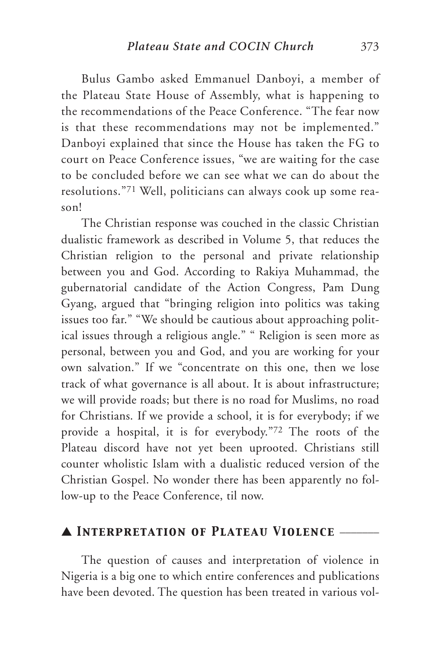Bulus Gambo asked Emmanuel Danboyi, a member of the Plateau State House of Assembly, what is happening to the recommendations of the Peace Conference. "The fear now is that these recommendations may not be implemented." Danboyi explained that since the House has taken the FG to court on Peace Conference issues, "we are waiting for the case to be concluded before we can see what we can do about the resolutions."71 Well, politicians can always cook up some reason!

The Christian response was couched in the classic Christian dualistic framework as described in Volume 5, that reduces the Christian religion to the personal and private relationship between you and God. According to Rakiya Muhammad, the gubernatorial candidate of the Action Congress, Pam Dung Gyang, argued that "bringing religion into politics was taking issues too far." "We should be cautious about approaching political issues through a religious angle." " Religion is seen more as personal, between you and God, and you are working for your own salvation." If we "concentrate on this one, then we lose track of what governance is all about. It is about infrastructure; we will provide roads; but there is no road for Muslims, no road for Christians. If we provide a school, it is for everybody; if we provide a hospital, it is for everybody."72 The roots of the Plateau discord have not yet been uprooted. Christians still counter wholistic Islam with a dualistic reduced version of the Christian Gospel. No wonder there has been apparently no follow-up to the Peace Conference, til now.

## ▲ *Interpretation of Plateau Violence* \_\_\_\_\_\_\_

The question of causes and interpretation of violence in Nigeria is a big one to which entire conferences and publications have been devoted. The question has been treated in various vol-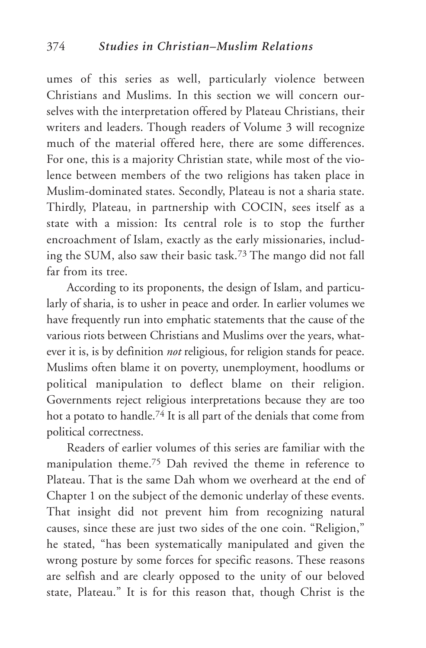umes of this series as well, particularly violence between Christians and Muslims. In this section we will concern ourselves with the interpretation offered by Plateau Christians, their writers and leaders. Though readers of Volume 3 will recognize much of the material offered here, there are some differences. For one, this is a majority Christian state, while most of the violence between members of the two religions has taken place in Muslim-dominated states. Secondly, Plateau is not a sharia state. Thirdly, Plateau, in partnership with COCIN, sees itself as a state with a mission: Its central role is to stop the further encroachment of Islam, exactly as the early missionaries, including the SUM, also saw their basic task.73 The mango did not fall far from its tree.

According to its proponents, the design of Islam, and particularly of sharia, is to usher in peace and order. In earlier volumes we have frequently run into emphatic statements that the cause of the various riots between Christians and Muslims over the years, whatever it is, is by definition *not* religious, for religion stands for peace. Muslims often blame it on poverty, unemployment, hoodlums or political manipulation to deflect blame on their religion. Governments reject religious interpretations because they are too hot a potato to handle.<sup>74</sup> It is all part of the denials that come from political correctness.

Readers of earlier volumes of this series are familiar with the manipulation theme.75 Dah revived the theme in reference to Plateau. That is the same Dah whom we overheard at the end of Chapter 1 on the subject of the demonic underlay of these events. That insight did not prevent him from recognizing natural causes, since these are just two sides of the one coin. "Religion," he stated, "has been systematically manipulated and given the wrong posture by some forces for specific reasons. These reasons are selfish and are clearly opposed to the unity of our beloved state, Plateau." It is for this reason that, though Christ is the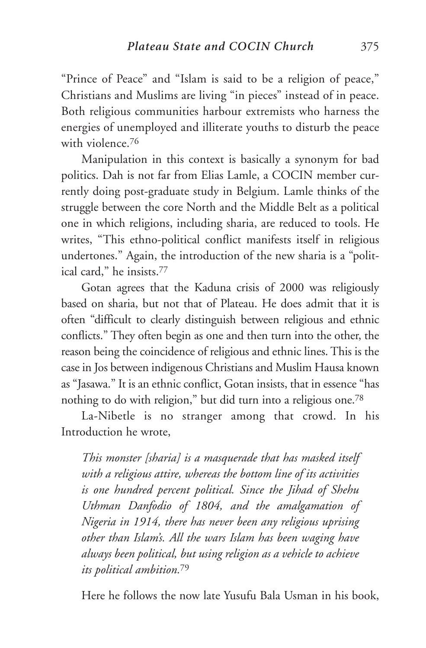"Prince of Peace" and "Islam is said to be a religion of peace," Christians and Muslims are living "in pieces" instead of in peace. Both religious communities harbour extremists who harness the energies of unemployed and illiterate youths to disturb the peace with violence.<sup>76</sup>

Manipulation in this context is basically a synonym for bad politics. Dah is not far from Elias Lamle, a COCIN member currently doing post-graduate study in Belgium. Lamle thinks of the struggle between the core North and the Middle Belt as a political one in which religions, including sharia, are reduced to tools. He writes, "This ethno-political conflict manifests itself in religious undertones." Again, the introduction of the new sharia is a "political card," he insists.77

Gotan agrees that the Kaduna crisis of 2000 was religiously based on sharia, but not that of Plateau. He does admit that it is often "difficult to clearly distinguish between religious and ethnic conflicts." They often begin as one and then turn into the other, the reason being the coincidence of religious and ethnic lines. This is the case in Jos between indigenous Christians and Muslim Hausa known as "Jasawa." It is an ethnic conflict, Gotan insists, that in essence "has nothing to do with religion," but did turn into a religious one.78

La-Nibetle is no stranger among that crowd. In his Introduction he wrote,

*This monster [sharia] is a masquerade that has masked itself with a religious attire, whereas the bottom line of its activities is one hundred percent political. Since the Jihad of Shehu Uthman Danfodio of 1804, and the amalgamation of Nigeria in 1914, there has never been any religious uprising other than Islam's. All the wars Islam has been waging have always been political, but using religion as a vehicle to achieve its political ambition.*<sup>79</sup>

Here he follows the now late Yusufu Bala Usman in his book,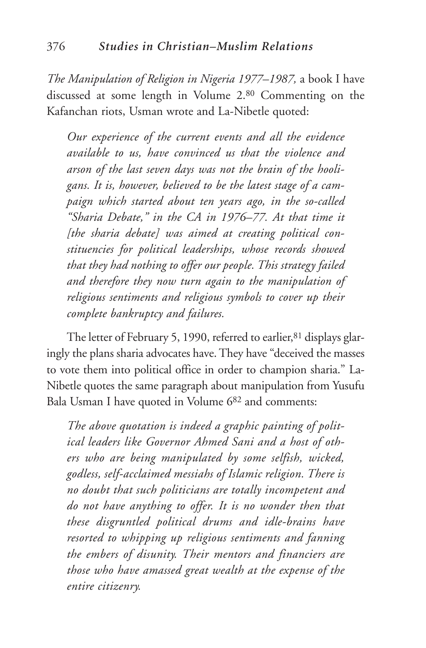*The Manipulation of Religion in Nigeria 1977–1987,* a book I have discussed at some length in Volume 2.80 Commenting on the Kafanchan riots, Usman wrote and La-Nibetle quoted:

*Our experience of the current events and all the evidence available to us, have convinced us that the violence and arson of the last seven days was not the brain of the hooligans. It is, however, believed to be the latest stage of a campaign which started about ten years ago, in the so-called "Sharia Debate," in the CA in 1976–77. At that time it [the sharia debate] was aimed at creating political constituencies for political leaderships, whose records showed that they had nothing to offer our people. This strategy failed and therefore they now turn again to the manipulation of religious sentiments and religious symbols to cover up their complete bankruptcy and failures.*

The letter of February 5, 1990, referred to earlier, 81 displays glaringly the plans sharia advocates have. They have "deceived the masses to vote them into political office in order to champion sharia." La-Nibetle quotes the same paragraph about manipulation from Yusufu Bala Usman I have quoted in Volume 682 and comments:

*The above quotation is indeed a graphic painting of political leaders like Governor Ahmed Sani and a host of others who are being manipulated by some selfish, wicked, godless, self-acclaimed messiahs of Islamic religion. There is no doubt that such politicians are totally incompetent and do not have anything to offer. It is no wonder then that these disgruntled political drums and idle-brains have resorted to whipping up religious sentiments and fanning the embers of disunity. Their mentors and financiers are those who have amassed great wealth at the expense of the entire citizenry.*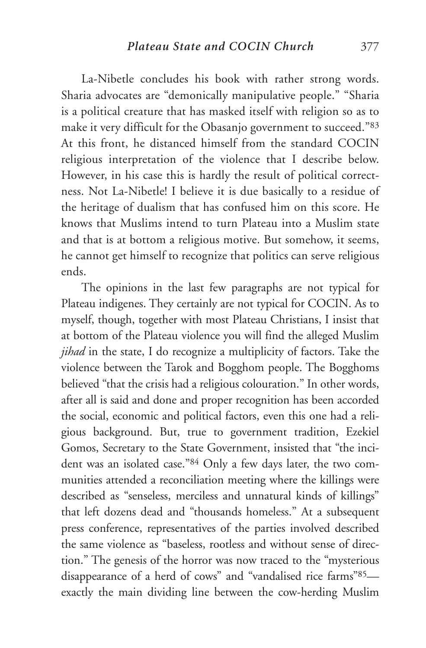La-Nibetle concludes his book with rather strong words. Sharia advocates are "demonically manipulative people." "Sharia is a political creature that has masked itself with religion so as to make it very difficult for the Obasanjo government to succeed."83 At this front, he distanced himself from the standard COCIN religious interpretation of the violence that I describe below. However, in his case this is hardly the result of political correctness. Not La-Nibetle! I believe it is due basically to a residue of the heritage of dualism that has confused him on this score. He knows that Muslims intend to turn Plateau into a Muslim state and that is at bottom a religious motive. But somehow, it seems, he cannot get himself to recognize that politics can serve religious ends.

The opinions in the last few paragraphs are not typical for Plateau indigenes. They certainly are not typical for COCIN. As to myself, though, together with most Plateau Christians, I insist that at bottom of the Plateau violence you will find the alleged Muslim *jihad* in the state, I do recognize a multiplicity of factors. Take the violence between the Tarok and Bogghom people. The Bogghoms believed "that the crisis had a religious colouration." In other words, after all is said and done and proper recognition has been accorded the social, economic and political factors, even this one had a religious background. But, true to government tradition, Ezekiel Gomos, Secretary to the State Government, insisted that "the incident was an isolated case."84 Only a few days later, the two communities attended a reconciliation meeting where the killings were described as "senseless, merciless and unnatural kinds of killings" that left dozens dead and "thousands homeless." At a subsequent press conference, representatives of the parties involved described the same violence as "baseless, rootless and without sense of direction." The genesis of the horror was now traced to the "mysterious disappearance of a herd of cows" and "vandalised rice farms"85 exactly the main dividing line between the cow-herding Muslim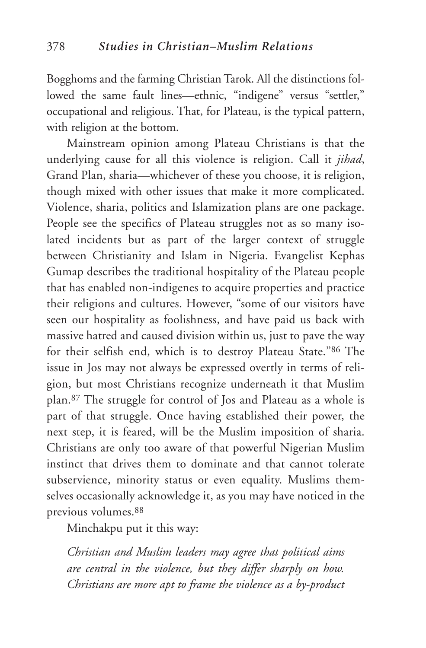Bogghoms and the farming Christian Tarok. All the distinctions followed the same fault lines—ethnic, "indigene" versus "settler," occupational and religious. That, for Plateau, is the typical pattern, with religion at the bottom.

Mainstream opinion among Plateau Christians is that the underlying cause for all this violence is religion. Call it *jihad*, Grand Plan, sharia—whichever of these you choose, it is religion, though mixed with other issues that make it more complicated. Violence, sharia, politics and Islamization plans are one package. People see the specifics of Plateau struggles not as so many isolated incidents but as part of the larger context of struggle between Christianity and Islam in Nigeria. Evangelist Kephas Gumap describes the traditional hospitality of the Plateau people that has enabled non-indigenes to acquire properties and practice their religions and cultures. However, "some of our visitors have seen our hospitality as foolishness, and have paid us back with massive hatred and caused division within us, just to pave the way for their selfish end, which is to destroy Plateau State."86 The issue in Jos may not always be expressed overtly in terms of religion, but most Christians recognize underneath it that Muslim plan.87 The struggle for control of Jos and Plateau as a whole is part of that struggle. Once having established their power, the next step, it is feared, will be the Muslim imposition of sharia. Christians are only too aware of that powerful Nigerian Muslim instinct that drives them to dominate and that cannot tolerate subservience, minority status or even equality. Muslims themselves occasionally acknowledge it, as you may have noticed in the previous volumes.88

Minchakpu put it this way:

*Christian and Muslim leaders may agree that political aims are central in the violence, but they differ sharply on how. Christians are more apt to frame the violence as a by-product*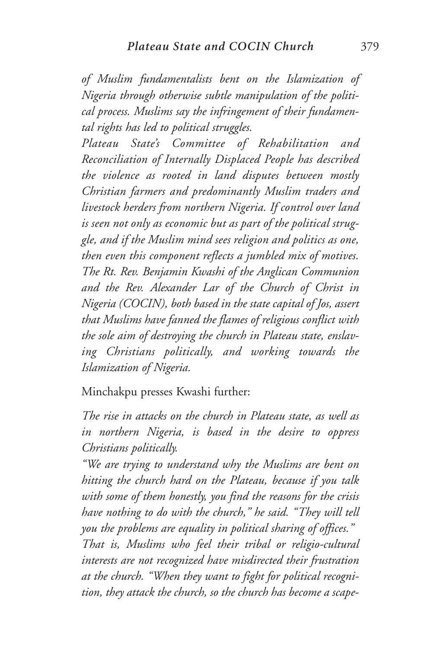*of Muslim fundamentalists bent on the Islamization of Nigeria through otherwise subtle manipulation of the political process. Muslims say the infringement of their fundamental rights has led to political struggles.*

*Plateau State's Committee of Rehabilitation and Reconciliation of Internally Displaced People has described the violence as rooted in land disputes between mostly Christian farmers and predominantly Muslim traders and livestock herders from northern Nigeria. If control over land is seen not only as economic but as part of the political struggle, and if the Muslim mind sees religion and politics as one, then even this component reflects a jumbled mix of motives. The Rt. Rev. Benjamin Kwashi of the Anglican Communion and the Rev. Alexander Lar of the Church of Christ in Nigeria (COCIN), both based in the state capital of Jos, assert that Muslims have fanned the flames of religious conflict with the sole aim of destroying the church in Plateau state, enslaving Christians politically, and working towards the Islamization of Nigeria.*

Minchakpu presses Kwashi further:

*The rise in attacks on the church in Plateau state, as well as in northern Nigeria, is based in the desire to oppress Christians politically.*

*"We are trying to understand why the Muslims are bent on hitting the church hard on the Plateau, because if you talk with some of them honestly, you find the reasons for the crisis have nothing to do with the church," he said. "They will tell you the problems are equality in political sharing of offices."*

*That is, Muslims who feel their tribal or religio-cultural interests are not recognized have misdirected their frustration at the church. "When they want to fight for political recognition, they attack the church, so the church has become a scape-*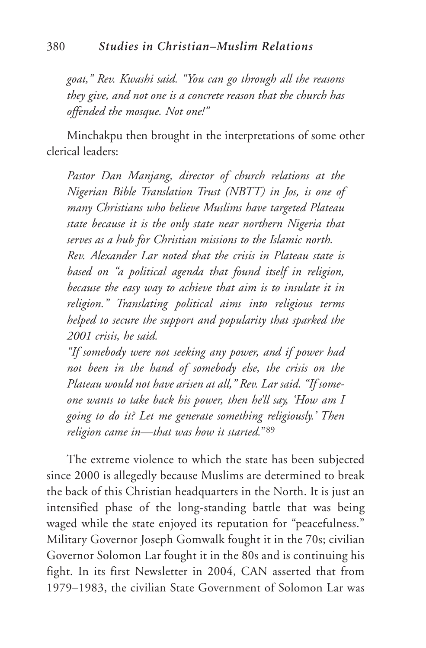*goat," Rev. Kwashi said. "You can go through all the reasons they give, and not one is a concrete reason that the church has offended the mosque. Not one!"*

Minchakpu then brought in the interpretations of some other clerical leaders:

*Pastor Dan Manjang, director of church relations at the Nigerian Bible Translation Trust (NBTT) in Jos, is one of many Christians who believe Muslims have targeted Plateau state because it is the only state near northern Nigeria that serves as a hub for Christian missions to the Islamic north. Rev. Alexander Lar noted that the crisis in Plateau state is based on "a political agenda that found itself in religion, because the easy way to achieve that aim is to insulate it in religion." Translating political aims into religious terms helped to secure the support and popularity that sparked the 2001 crisis, he said.*

*"If somebody were not seeking any power, and if power had not been in the hand of somebody else, the crisis on the Plateau would not have arisen at all," Rev. Lar said. "If someone wants to take back his power, then he'll say, 'How am I going to do it? Let me generate something religiously.' Then religion came in—that was how it started.*"89

The extreme violence to which the state has been subjected since 2000 is allegedly because Muslims are determined to break the back of this Christian headquarters in the North. It is just an intensified phase of the long-standing battle that was being waged while the state enjoyed its reputation for "peacefulness." Military Governor Joseph Gomwalk fought it in the 70s; civilian Governor Solomon Lar fought it in the 80s and is continuing his fight. In its first Newsletter in 2004, CAN asserted that from 1979–1983, the civilian State Government of Solomon Lar was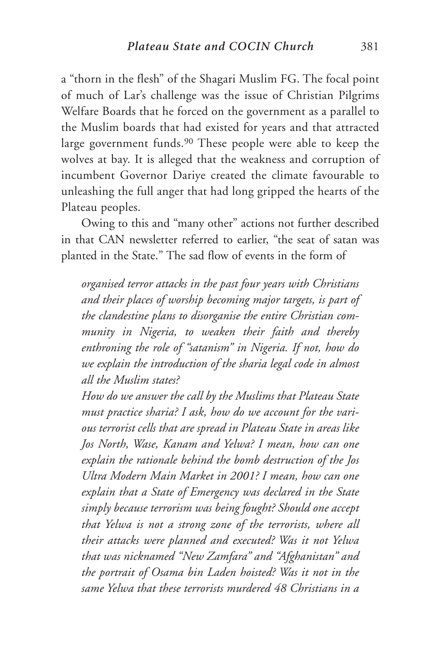a "thorn in the flesh" of the Shagari Muslim FG. The focal point of much of Lar's challenge was the issue of Christian Pilgrims Welfare Boards that he forced on the government as a parallel to the Muslim boards that had existed for years and that attracted large government funds.<sup>90</sup> These people were able to keep the wolves at bay. It is alleged that the weakness and corruption of incumbent Governor Dariye created the climate favourable to unleashing the full anger that had long gripped the hearts of the Plateau peoples.

Owing to this and "many other" actions not further described in that CAN newsletter referred to earlier, "the seat of satan was planted in the State." The sad flow of events in the form of

*organised terror attacks in the past four years with Christians and their places of worship becoming major targets, is part of the clandestine plans to disorganise the entire Christian community in Nigeria, to weaken their faith and thereby enthroning the role of "satanism" in Nigeria. If not, how do we explain the introduction of the sharia legal code in almost all the Muslim states?*

*How do we answer the call by the Muslims that Plateau State must practice sharia? I ask, how do we account for the various terrorist cells that are spread in Plateau State in areas like Jos North, Wase, Kanam and Yelwa? I mean, how can one explain the rationale behind the bomb destruction of the Jos Ultra Modern Main Market in 2001? I mean, how can one explain that a State of Emergency was declared in the State simply because terrorism was being fought? Should one accept that Yelwa is not a strong zone of the terrorists, where all their attacks were planned and executed? Was it not Yelwa that was nicknamed "New Zamfara" and "Afghanistan" and the portrait of Osama bin Laden hoisted? Was it not in the same Yelwa that these terrorists murdered 48 Christians in a*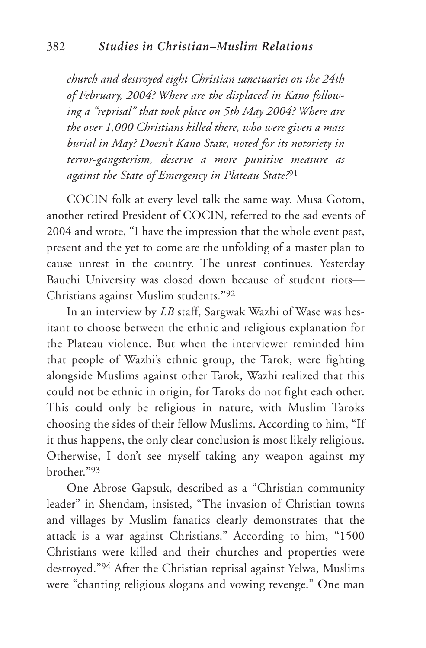*church and destroyed eight Christian sanctuaries on the 24th of February, 2004? Where are the displaced in Kano following a "reprisal" that took place on 5th May 2004? Where are the over 1,000 Christians killed there, who were given a mass burial in May? Doesn't Kano State, noted for its notoriety in terror-gangsterism, deserve a more punitive measure as against the State of Emergency in Plateau State?*<sup>91</sup>

COCIN folk at every level talk the same way. Musa Gotom, another retired President of COCIN, referred to the sad events of 2004 and wrote, "I have the impression that the whole event past, present and the yet to come are the unfolding of a master plan to cause unrest in the country. The unrest continues. Yesterday Bauchi University was closed down because of student riots— Christians against Muslim students.**"**<sup>92</sup>

In an interview by *LB* staff, Sargwak Wazhi of Wase was hesitant to choose between the ethnic and religious explanation for the Plateau violence. But when the interviewer reminded him that people of Wazhi's ethnic group, the Tarok, were fighting alongside Muslims against other Tarok, Wazhi realized that this could not be ethnic in origin, for Taroks do not fight each other. This could only be religious in nature, with Muslim Taroks choosing the sides of their fellow Muslims. According to him, "If it thus happens, the only clear conclusion is most likely religious. Otherwise, I don't see myself taking any weapon against my brother."93

One Abrose Gapsuk, described as a "Christian community leader" in Shendam, insisted, "The invasion of Christian towns and villages by Muslim fanatics clearly demonstrates that the attack is a war against Christians." According to him, "1500 Christians were killed and their churches and properties were destroyed."94 After the Christian reprisal against Yelwa, Muslims were "chanting religious slogans and vowing revenge." One man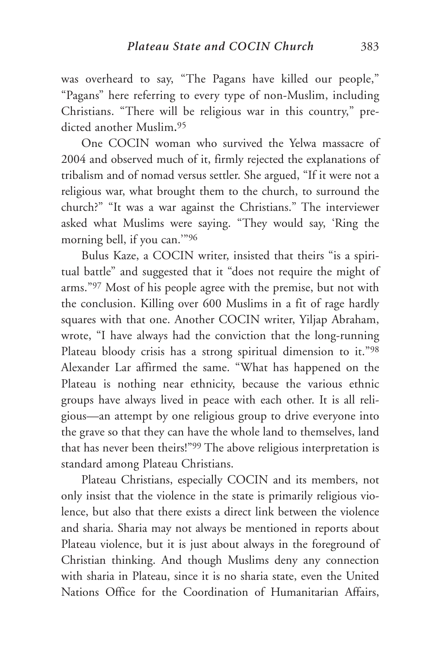was overheard to say, "The Pagans have killed our people," "Pagans" here referring to every type of non-Muslim, including Christians. "There will be religious war in this country," predicted another Muslim**.**<sup>95</sup>

One COCIN woman who survived the Yelwa massacre of 2004 and observed much of it, firmly rejected the explanations of tribalism and of nomad versus settler. She argued, "If it were not a religious war, what brought them to the church, to surround the church?" "It was a war against the Christians." The interviewer asked what Muslims were saying. "They would say, 'Ring the morning bell, if you can.'"96

Bulus Kaze, a COCIN writer, insisted that theirs "is a spiritual battle" and suggested that it "does not require the might of arms."97 Most of his people agree with the premise, but not with the conclusion. Killing over 600 Muslims in a fit of rage hardly squares with that one. Another COCIN writer, Yiljap Abraham, wrote, "I have always had the conviction that the long-running Plateau bloody crisis has a strong spiritual dimension to it."98 Alexander Lar affirmed the same. "What has happened on the Plateau is nothing near ethnicity, because the various ethnic groups have always lived in peace with each other. It is all religious—an attempt by one religious group to drive everyone into the grave so that they can have the whole land to themselves, land that has never been theirs!"99 The above religious interpretation is standard among Plateau Christians.

Plateau Christians, especially COCIN and its members, not only insist that the violence in the state is primarily religious violence, but also that there exists a direct link between the violence and sharia. Sharia may not always be mentioned in reports about Plateau violence, but it is just about always in the foreground of Christian thinking. And though Muslims deny any connection with sharia in Plateau, since it is no sharia state, even the United Nations Office for the Coordination of Humanitarian Affairs,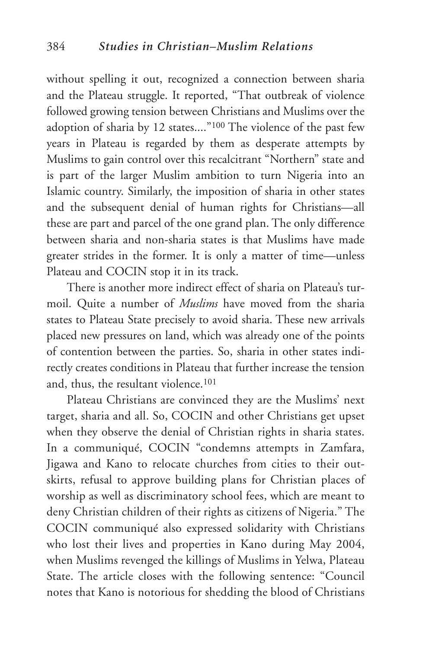without spelling it out, recognized a connection between sharia and the Plateau struggle. It reported, "That outbreak of violence followed growing tension between Christians and Muslims over the adoption of sharia by 12 states...."100 The violence of the past few years in Plateau is regarded by them as desperate attempts by Muslims to gain control over this recalcitrant "Northern" state and is part of the larger Muslim ambition to turn Nigeria into an Islamic country. Similarly, the imposition of sharia in other states and the subsequent denial of human rights for Christians—all these are part and parcel of the one grand plan. The only difference between sharia and non-sharia states is that Muslims have made greater strides in the former. It is only a matter of time—unless Plateau and COCIN stop it in its track.

There is another more indirect effect of sharia on Plateau's turmoil. Quite a number of *Muslims* have moved from the sharia states to Plateau State precisely to avoid sharia. These new arrivals placed new pressures on land, which was already one of the points of contention between the parties. So, sharia in other states indirectly creates conditions in Plateau that further increase the tension and, thus, the resultant violence.101

Plateau Christians are convinced they are the Muslims' next target, sharia and all. So, COCIN and other Christians get upset when they observe the denial of Christian rights in sharia states. In a communiqué, COCIN "condemns attempts in Zamfara, Jigawa and Kano to relocate churches from cities to their outskirts, refusal to approve building plans for Christian places of worship as well as discriminatory school fees, which are meant to deny Christian children of their rights as citizens of Nigeria." The COCIN communiqué also expressed solidarity with Christians who lost their lives and properties in Kano during May 2004, when Muslims revenged the killings of Muslims in Yelwa, Plateau State. The article closes with the following sentence: "Council notes that Kano is notorious for shedding the blood of Christians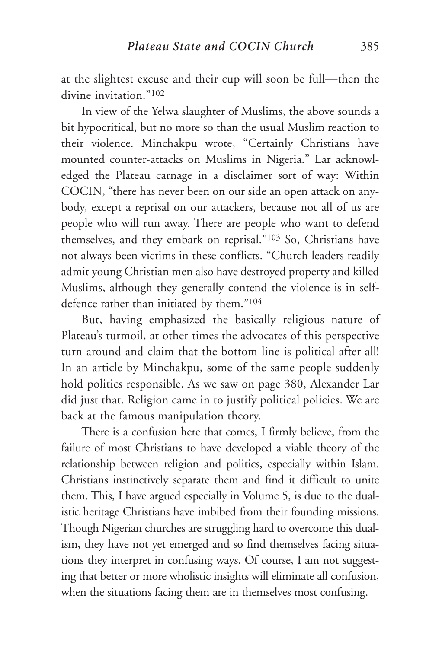at the slightest excuse and their cup will soon be full—then the divine invitation."102

In view of the Yelwa slaughter of Muslims, the above sounds a bit hypocritical, but no more so than the usual Muslim reaction to their violence. Minchakpu wrote, "Certainly Christians have mounted counter-attacks on Muslims in Nigeria." Lar acknowledged the Plateau carnage in a disclaimer sort of way: Within COCIN, "there has never been on our side an open attack on anybody, except a reprisal on our attackers, because not all of us are people who will run away. There are people who want to defend themselves, and they embark on reprisal."103 So, Christians have not always been victims in these conflicts. "Church leaders readily admit young Christian men also have destroyed property and killed Muslims, although they generally contend the violence is in selfdefence rather than initiated by them."104

But, having emphasized the basically religious nature of Plateau's turmoil, at other times the advocates of this perspective turn around and claim that the bottom line is political after all! In an article by Minchakpu, some of the same people suddenly hold politics responsible. As we saw on page 380, Alexander Lar did just that. Religion came in to justify political policies. We are back at the famous manipulation theory.

There is a confusion here that comes, I firmly believe, from the failure of most Christians to have developed a viable theory of the relationship between religion and politics, especially within Islam. Christians instinctively separate them and find it difficult to unite them. This, I have argued especially in Volume 5, is due to the dualistic heritage Christians have imbibed from their founding missions. Though Nigerian churches are struggling hard to overcome this dualism, they have not yet emerged and so find themselves facing situations they interpret in confusing ways. Of course, I am not suggesting that better or more wholistic insights will eliminate all confusion, when the situations facing them are in themselves most confusing.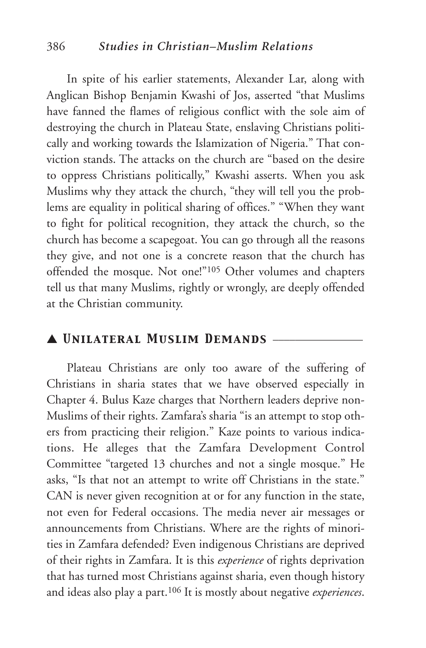#### 386 *Studies in Christian–Muslim Relations*

In spite of his earlier statements, Alexander Lar, along with Anglican Bishop Benjamin Kwashi of Jos, asserted "that Muslims have fanned the flames of religious conflict with the sole aim of destroying the church in Plateau State, enslaving Christians politically and working towards the Islamization of Nigeria." That conviction stands. The attacks on the church are "based on the desire to oppress Christians politically," Kwashi asserts. When you ask Muslims why they attack the church, "they will tell you the problems are equality in political sharing of offices." "When they want to fight for political recognition, they attack the church, so the church has become a scapegoat. You can go through all the reasons they give, and not one is a concrete reason that the church has offended the mosque. Not one!"105 Other volumes and chapters tell us that many Muslims, rightly or wrongly, are deeply offended at the Christian community.

#### ▲ *Unilateral Muslim Demands* \_\_\_\_\_\_\_\_\_\_\_\_\_\_\_\_

Plateau Christians are only too aware of the suffering of Christians in sharia states that we have observed especially in Chapter 4. Bulus Kaze charges that Northern leaders deprive non-Muslims of their rights. Zamfara's sharia "is an attempt to stop others from practicing their religion." Kaze points to various indications. He alleges that the Zamfara Development Control Committee "targeted 13 churches and not a single mosque." He asks, "Is that not an attempt to write off Christians in the state." CAN is never given recognition at or for any function in the state, not even for Federal occasions. The media never air messages or announcements from Christians. Where are the rights of minorities in Zamfara defended? Even indigenous Christians are deprived of their rights in Zamfara. It is this *experience* of rights deprivation that has turned most Christians against sharia, even though history and ideas also play a part.106 It is mostly about negative *experiences*.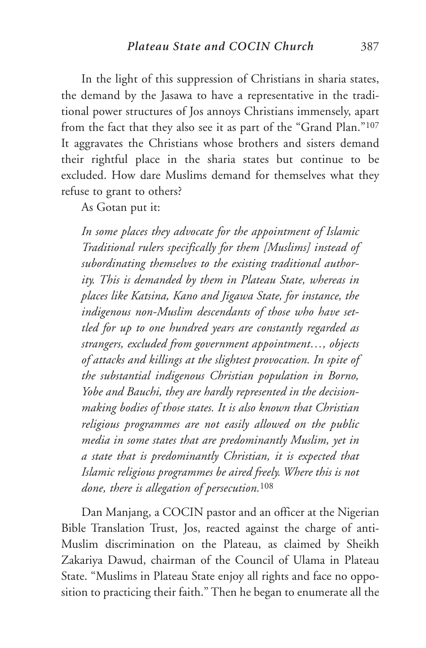In the light of this suppression of Christians in sharia states, the demand by the Jasawa to have a representative in the traditional power structures of Jos annoys Christians immensely, apart from the fact that they also see it as part of the "Grand Plan."107 It aggravates the Christians whose brothers and sisters demand their rightful place in the sharia states but continue to be excluded. How dare Muslims demand for themselves what they refuse to grant to others?

As Gotan put it:

*In some places they advocate for the appointment of Islamic Traditional rulers specifically for them [Muslims] instead of subordinating themselves to the existing traditional authority. This is demanded by them in Plateau State, whereas in places like Katsina, Kano and Jigawa State, for instance, the indigenous non-Muslim descendants of those who have settled for up to one hundred years are constantly regarded as strangers, excluded from government appointment…, objects of attacks and killings at the slightest provocation. In spite of the substantial indigenous Christian population in Borno, Yobe and Bauchi, they are hardly represented in the decisionmaking bodies of those states. It is also known that Christian religious programmes are not easily allowed on the public media in some states that are predominantly Muslim, yet in a state that is predominantly Christian, it is expected that Islamic religious programmes be aired freely. Where this is not done, there is allegation of persecution.*<sup>108</sup>

Dan Manjang, a COCIN pastor and an officer at the Nigerian Bible Translation Trust, Jos, reacted against the charge of anti-Muslim discrimination on the Plateau, as claimed by Sheikh Zakariya Dawud, chairman of the Council of Ulama in Plateau State. "Muslims in Plateau State enjoy all rights and face no opposition to practicing their faith." Then he began to enumerate all the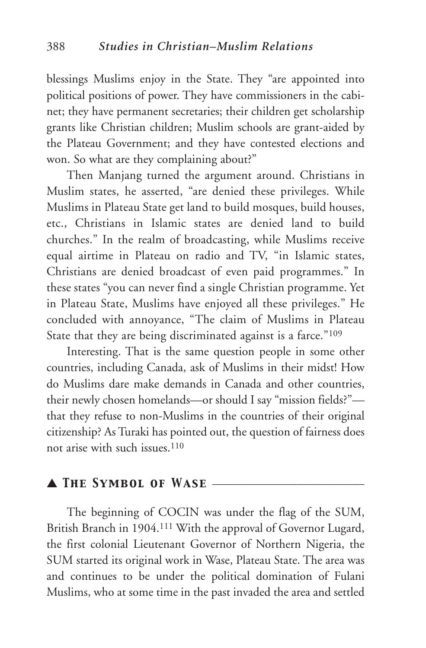blessings Muslims enjoy in the State. They "are appointed into political positions of power. They have commissioners in the cabinet; they have permanent secretaries; their children get scholarship grants like Christian children; Muslim schools are grant-aided by the Plateau Government; and they have contested elections and won. So what are they complaining about?"

Then Manjang turned the argument around. Christians in Muslim states, he asserted, "are denied these privileges. While Muslims in Plateau State get land to build mosques, build houses, etc., Christians in Islamic states are denied land to build churches." In the realm of broadcasting, while Muslims receive equal airtime in Plateau on radio and TV, "in Islamic states, Christians are denied broadcast of even paid programmes." In these states "you can never find a single Christian programme. Yet in Plateau State, Muslims have enjoyed all these privileges." He concluded with annoyance, "The claim of Muslims in Plateau State that they are being discriminated against is a farce."109

Interesting. That is the same question people in some other countries, including Canada, ask of Muslims in their midst! How do Muslims dare make demands in Canada and other countries, their newly chosen homelands—or should I say "mission fields?" that they refuse to non-Muslims in the countries of their original citizenship? As Turaki has pointed out, the question of fairness does not arise with such issues.<sup>110</sup>

### ▲ *The Symbol of Wase* \_\_\_\_\_\_\_\_\_\_\_\_\_\_\_\_\_\_\_\_\_\_\_\_\_\_\_

The beginning of COCIN was under the flag of the SUM, British Branch in 1904.111 With the approval of Governor Lugard, the first colonial Lieutenant Governor of Northern Nigeria, the SUM started its original work in Wase, Plateau State. The area was and continues to be under the political domination of Fulani Muslims, who at some time in the past invaded the area and settled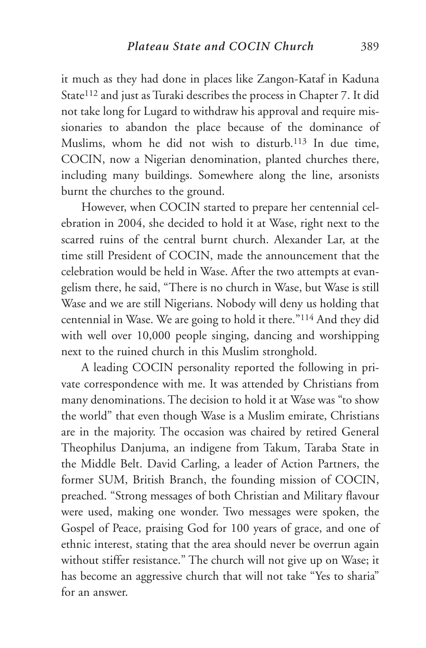it much as they had done in places like Zangon-Kataf in Kaduna State<sup>112</sup> and just as Turaki describes the process in Chapter 7. It did not take long for Lugard to withdraw his approval and require missionaries to abandon the place because of the dominance of Muslims, whom he did not wish to disturb.113 In due time, COCIN, now a Nigerian denomination, planted churches there, including many buildings. Somewhere along the line, arsonists burnt the churches to the ground.

However, when COCIN started to prepare her centennial celebration in 2004, she decided to hold it at Wase, right next to the scarred ruins of the central burnt church. Alexander Lar, at the time still President of COCIN, made the announcement that the celebration would be held in Wase. After the two attempts at evangelism there, he said, "There is no church in Wase, but Wase is still Wase and we are still Nigerians. Nobody will deny us holding that centennial in Wase. We are going to hold it there."114 And they did with well over 10,000 people singing, dancing and worshipping next to the ruined church in this Muslim stronghold.

A leading COCIN personality reported the following in private correspondence with me. It was attended by Christians from many denominations. The decision to hold it at Wase was "to show the world" that even though Wase is a Muslim emirate, Christians are in the majority. The occasion was chaired by retired General Theophilus Danjuma, an indigene from Takum, Taraba State in the Middle Belt. David Carling, a leader of Action Partners, the former SUM, British Branch, the founding mission of COCIN, preached. "Strong messages of both Christian and Military flavour were used, making one wonder. Two messages were spoken, the Gospel of Peace, praising God for 100 years of grace, and one of ethnic interest, stating that the area should never be overrun again without stiffer resistance." The church will not give up on Wase; it has become an aggressive church that will not take "Yes to sharia" for an answer.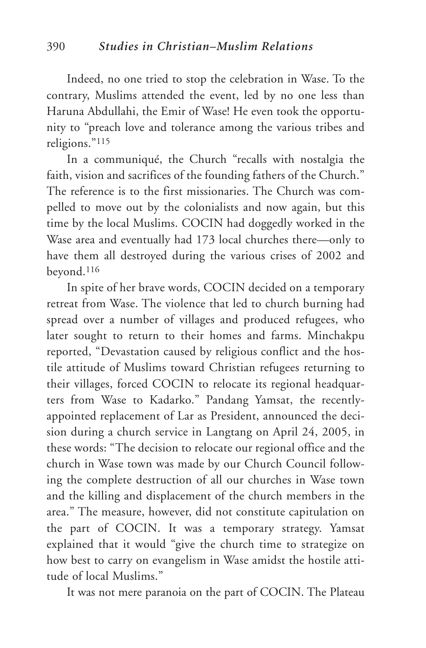Indeed, no one tried to stop the celebration in Wase. To the contrary, Muslims attended the event, led by no one less than Haruna Abdullahi, the Emir of Wase! He even took the opportunity to "preach love and tolerance among the various tribes and religions."115

In a communiqué, the Church "recalls with nostalgia the faith, vision and sacrifices of the founding fathers of the Church." The reference is to the first missionaries. The Church was compelled to move out by the colonialists and now again, but this time by the local Muslims. COCIN had doggedly worked in the Wase area and eventually had 173 local churches there—only to have them all destroyed during the various crises of 2002 and beyond.116

In spite of her brave words, COCIN decided on a temporary retreat from Wase. The violence that led to church burning had spread over a number of villages and produced refugees, who later sought to return to their homes and farms. Minchakpu reported, "Devastation caused by religious conflict and the hostile attitude of Muslims toward Christian refugees returning to their villages, forced COCIN to relocate its regional headquarters from Wase to Kadarko." Pandang Yamsat, the recentlyappointed replacement of Lar as President, announced the decision during a church service in Langtang on April 24, 2005, in these words: "The decision to relocate our regional office and the church in Wase town was made by our Church Council following the complete destruction of all our churches in Wase town and the killing and displacement of the church members in the area." The measure, however, did not constitute capitulation on the part of COCIN. It was a temporary strategy. Yamsat explained that it would "give the church time to strategize on how best to carry on evangelism in Wase amidst the hostile attitude of local Muslims."

It was not mere paranoia on the part of COCIN. The Plateau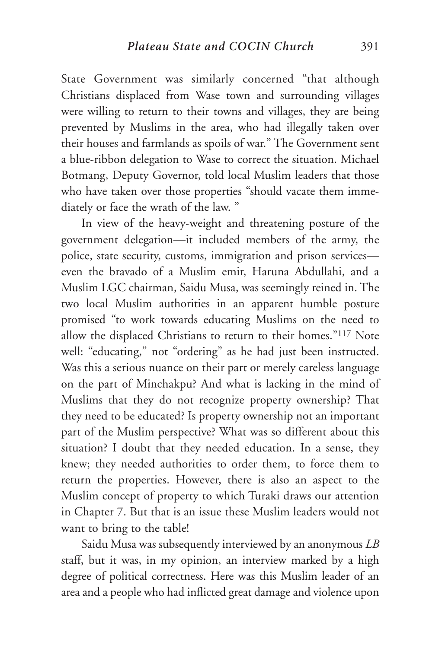State Government was similarly concerned "that although Christians displaced from Wase town and surrounding villages were willing to return to their towns and villages, they are being prevented by Muslims in the area, who had illegally taken over their houses and farmlands as spoils of war." The Government sent a blue-ribbon delegation to Wase to correct the situation. Michael Botmang, Deputy Governor, told local Muslim leaders that those who have taken over those properties "should vacate them immediately or face the wrath of the law. "

In view of the heavy-weight and threatening posture of the government delegation—it included members of the army, the police, state security, customs, immigration and prison services even the bravado of a Muslim emir, Haruna Abdullahi, and a Muslim LGC chairman, Saidu Musa, was seemingly reined in. The two local Muslim authorities in an apparent humble posture promised "to work towards educating Muslims on the need to allow the displaced Christians to return to their homes."117 Note well: "educating," not "ordering" as he had just been instructed. Was this a serious nuance on their part or merely careless language on the part of Minchakpu? And what is lacking in the mind of Muslims that they do not recognize property ownership? That they need to be educated? Is property ownership not an important part of the Muslim perspective? What was so different about this situation? I doubt that they needed education. In a sense, they knew; they needed authorities to order them, to force them to return the properties. However, there is also an aspect to the Muslim concept of property to which Turaki draws our attention in Chapter 7. But that is an issue these Muslim leaders would not want to bring to the table!

Saidu Musa was subsequently interviewed by an anonymous *LB* staff, but it was, in my opinion, an interview marked by a high degree of political correctness. Here was this Muslim leader of an area and a people who had inflicted great damage and violence upon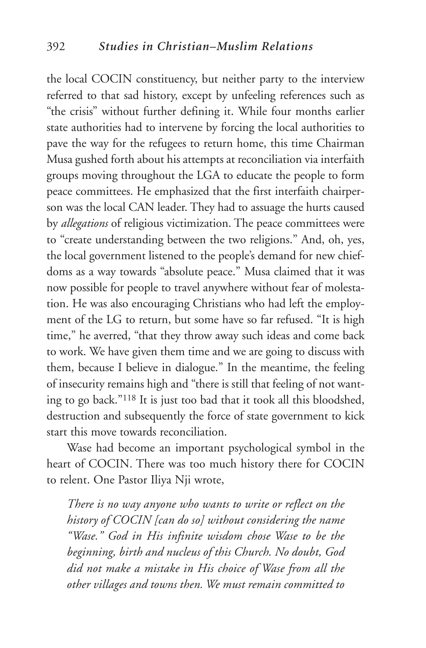the local COCIN constituency, but neither party to the interview referred to that sad history, except by unfeeling references such as "the crisis" without further defining it. While four months earlier state authorities had to intervene by forcing the local authorities to pave the way for the refugees to return home, this time Chairman Musa gushed forth about his attempts at reconciliation via interfaith groups moving throughout the LGA to educate the people to form peace committees. He emphasized that the first interfaith chairperson was the local CAN leader. They had to assuage the hurts caused by *allegations* of religious victimization. The peace committees were to "create understanding between the two religions." And, oh, yes, the local government listened to the people's demand for new chiefdoms as a way towards "absolute peace." Musa claimed that it was now possible for people to travel anywhere without fear of molestation. He was also encouraging Christians who had left the employment of the LG to return, but some have so far refused. "It is high time," he averred, "that they throw away such ideas and come back to work. We have given them time and we are going to discuss with them, because I believe in dialogue." In the meantime, the feeling of insecurity remains high and "there is still that feeling of not wanting to go back."118 It is just too bad that it took all this bloodshed, destruction and subsequently the force of state government to kick start this move towards reconciliation.

Wase had become an important psychological symbol in the heart of COCIN. There was too much history there for COCIN to relent. One Pastor Iliya Nji wrote,

*There is no way anyone who wants to write or reflect on the history of COCIN [can do so] without considering the name "Wase." God in His infinite wisdom chose Wase to be the beginning, birth and nucleus of this Church. No doubt, God did not make a mistake in His choice of Wase from all the other villages and towns then. We must remain committed to*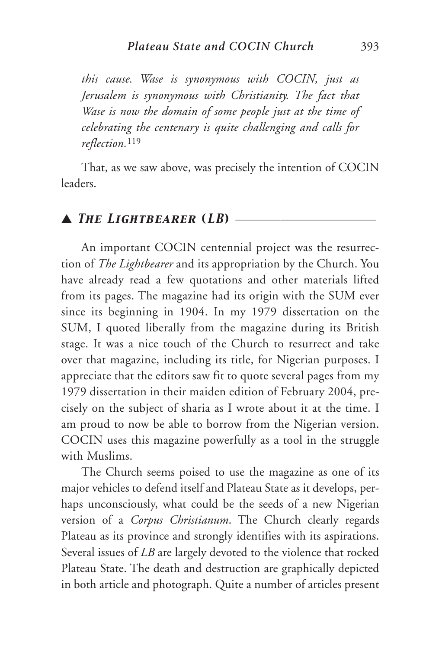*this cause. Wase is synonymous with COCIN, just as Jerusalem is synonymous with Christianity. The fact that Wase is now the domain of some people just at the time of celebrating the centenary is quite challenging and calls for reflection.*<sup>119</sup>

That, as we saw above, was precisely the intention of COCIN leaders.

### $\blacktriangle$  *The Lightbearer (LB)*  $\equiv$

An important COCIN centennial project was the resurrection of *The Lightbearer* and its appropriation by the Church. You have already read a few quotations and other materials lifted from its pages. The magazine had its origin with the SUM ever since its beginning in 1904. In my 1979 dissertation on the SUM, I quoted liberally from the magazine during its British stage. It was a nice touch of the Church to resurrect and take over that magazine, including its title, for Nigerian purposes. I appreciate that the editors saw fit to quote several pages from my 1979 dissertation in their maiden edition of February 2004, precisely on the subject of sharia as I wrote about it at the time. I am proud to now be able to borrow from the Nigerian version. COCIN uses this magazine powerfully as a tool in the struggle with Muslims.

The Church seems poised to use the magazine as one of its major vehicles to defend itself and Plateau State as it develops, perhaps unconsciously, what could be the seeds of a new Nigerian version of a *Corpus Christianum*. The Church clearly regards Plateau as its province and strongly identifies with its aspirations. Several issues of *LB* are largely devoted to the violence that rocked Plateau State. The death and destruction are graphically depicted in both article and photograph. Quite a number of articles present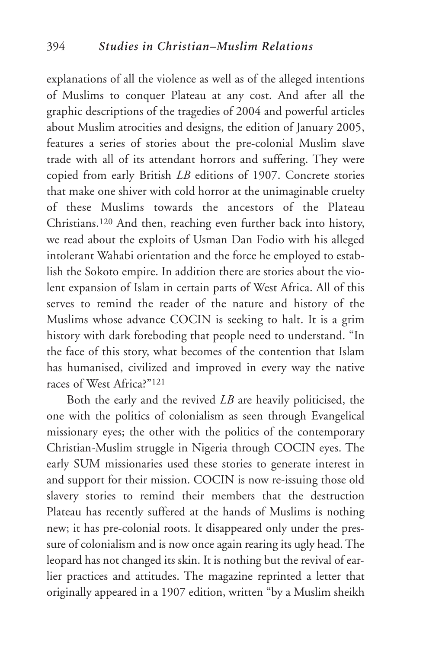explanations of all the violence as well as of the alleged intentions of Muslims to conquer Plateau at any cost. And after all the graphic descriptions of the tragedies of 2004 and powerful articles about Muslim atrocities and designs, the edition of January 2005, features a series of stories about the pre-colonial Muslim slave trade with all of its attendant horrors and suffering. They were copied from early British *LB* editions of 1907. Concrete stories that make one shiver with cold horror at the unimaginable cruelty of these Muslims towards the ancestors of the Plateau Christians.120 And then, reaching even further back into history, we read about the exploits of Usman Dan Fodio with his alleged intolerant Wahabi orientation and the force he employed to establish the Sokoto empire. In addition there are stories about the violent expansion of Islam in certain parts of West Africa. All of this serves to remind the reader of the nature and history of the Muslims whose advance COCIN is seeking to halt. It is a grim history with dark foreboding that people need to understand. "In the face of this story, what becomes of the contention that Islam has humanised, civilized and improved in every way the native races of West Africa?"121

Both the early and the revived *LB* are heavily politicised, the one with the politics of colonialism as seen through Evangelical missionary eyes; the other with the politics of the contemporary Christian-Muslim struggle in Nigeria through COCIN eyes. The early SUM missionaries used these stories to generate interest in and support for their mission. COCIN is now re-issuing those old slavery stories to remind their members that the destruction Plateau has recently suffered at the hands of Muslims is nothing new; it has pre-colonial roots. It disappeared only under the pressure of colonialism and is now once again rearing its ugly head. The leopard has not changed its skin. It is nothing but the revival of earlier practices and attitudes. The magazine reprinted a letter that originally appeared in a 1907 edition, written "by a Muslim sheikh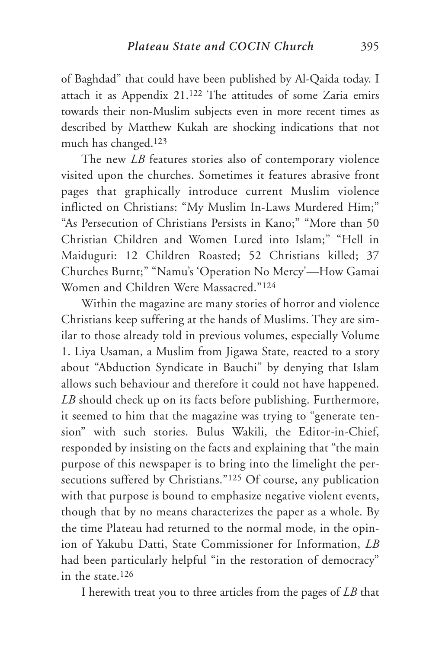of Baghdad" that could have been published by Al-Qaida today. I attach it as Appendix 21.122 The attitudes of some Zaria emirs towards their non-Muslim subjects even in more recent times as described by Matthew Kukah are shocking indications that not much has changed.123

The new *LB* features stories also of contemporary violence visited upon the churches. Sometimes it features abrasive front pages that graphically introduce current Muslim violence inflicted on Christians: "My Muslim In-Laws Murdered Him;" "As Persecution of Christians Persists in Kano;" "More than 50 Christian Children and Women Lured into Islam;" "Hell in Maiduguri: 12 Children Roasted; 52 Christians killed; 37 Churches Burnt;" "Namu's 'Operation No Mercy'—How Gamai Women and Children Were Massacred."124

Within the magazine are many stories of horror and violence Christians keep suffering at the hands of Muslims. They are similar to those already told in previous volumes, especially Volume 1. Liya Usaman, a Muslim from Jigawa State, reacted to a story about "Abduction Syndicate in Bauchi" by denying that Islam allows such behaviour and therefore it could not have happened. *LB* should check up on its facts before publishing. Furthermore, it seemed to him that the magazine was trying to "generate tension" with such stories. Bulus Wakili, the Editor-in-Chief, responded by insisting on the facts and explaining that "the main purpose of this newspaper is to bring into the limelight the persecutions suffered by Christians."<sup>125</sup> Of course, any publication with that purpose is bound to emphasize negative violent events, though that by no means characterizes the paper as a whole. By the time Plateau had returned to the normal mode, in the opinion of Yakubu Datti, State Commissioner for Information, *LB* had been particularly helpful "in the restoration of democracy" in the state 126

I herewith treat you to three articles from the pages of *LB* that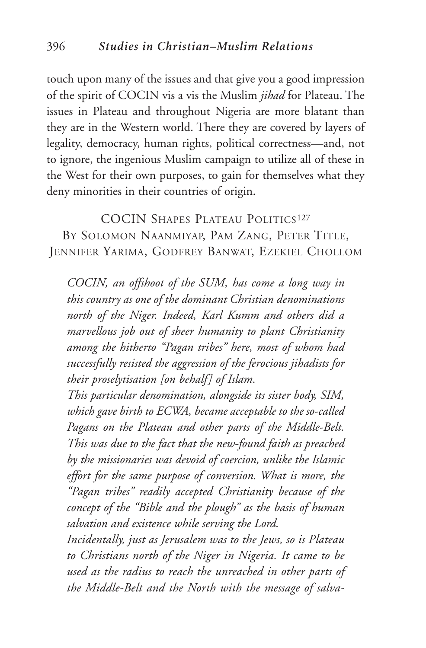touch upon many of the issues and that give you a good impression of the spirit of COCIN vis a vis the Muslim *jihad* for Plateau. The issues in Plateau and throughout Nigeria are more blatant than they are in the Western world. There they are covered by layers of legality, democracy, human rights, political correctness—and, not to ignore, the ingenious Muslim campaign to utilize all of these in the West for their own purposes, to gain for themselves what they deny minorities in their countries of origin.

COCIN SHAPES PLATEAU POLITICS<sup>127</sup> BY SOLOMON NAANMIYAP, PAM ZANG, PETER TITLE, JENNIFER YARIMA, GODFREY BANWAT, EZEKIEL CHOLLOM

*COCIN, an offshoot of the SUM, has come a long way in this country as one of the dominant Christian denominations north of the Niger. Indeed, Karl Kumm and others did a marvellous job out of sheer humanity to plant Christianity among the hitherto "Pagan tribes" here, most of whom had successfully resisted the aggression of the ferocious jihadists for their proselytisation [on behalf] of Islam.*

*This particular denomination, alongside its sister body, SIM, which gave birth to ECWA, became acceptable to the so-called Pagans on the Plateau and other parts of the Middle-Belt. This was due to the fact that the new-found faith as preached by the missionaries was devoid of coercion, unlike the Islamic effort for the same purpose of conversion. What is more, the "Pagan tribes" readily accepted Christianity because of the concept of the "Bible and the plough" as the basis of human salvation and existence while serving the Lord.*

*Incidentally, just as Jerusalem was to the Jews, so is Plateau to Christians north of the Niger in Nigeria. It came to be used as the radius to reach the unreached in other parts of the Middle-Belt and the North with the message of salva-*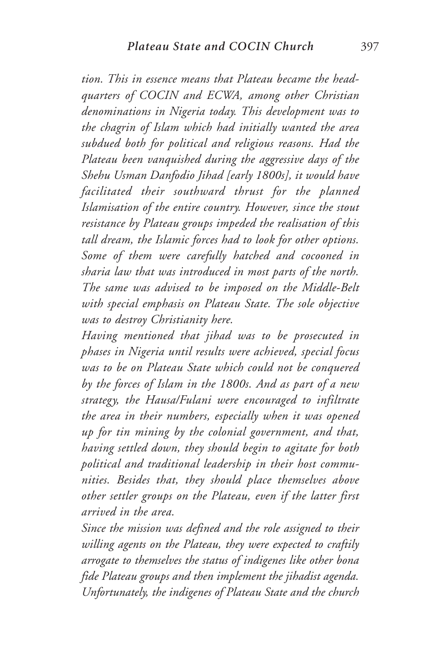*tion. This in essence means that Plateau became the headquarters of COCIN and ECWA, among other Christian denominations in Nigeria today. This development was to the chagrin of Islam which had initially wanted the area subdued both for political and religious reasons. Had the Plateau been vanquished during the aggressive days of the Shehu Usman Danfodio Jihad [early 1800s], it would have facilitated their southward thrust for the planned Islamisation of the entire country. However, since the stout resistance by Plateau groups impeded the realisation of this tall dream, the Islamic forces had to look for other options. Some of them were carefully hatched and cocooned in sharia law that was introduced in most parts of the north. The same was advised to be imposed on the Middle-Belt with special emphasis on Plateau State. The sole objective was to destroy Christianity here.*

*Having mentioned that jihad was to be prosecuted in phases in Nigeria until results were achieved, special focus was to be on Plateau State which could not be conquered by the forces of Islam in the 1800s. And as part of a new strategy, the Hausa/Fulani were encouraged to infiltrate the area in their numbers, especially when it was opened up for tin mining by the colonial government, and that, having settled down, they should begin to agitate for both political and traditional leadership in their host communities. Besides that, they should place themselves above other settler groups on the Plateau, even if the latter first arrived in the area.*

*Since the mission was defined and the role assigned to their willing agents on the Plateau, they were expected to craftily arrogate to themselves the status of indigenes like other bona fide Plateau groups and then implement the jihadist agenda. Unfortunately, the indigenes of Plateau State and the church*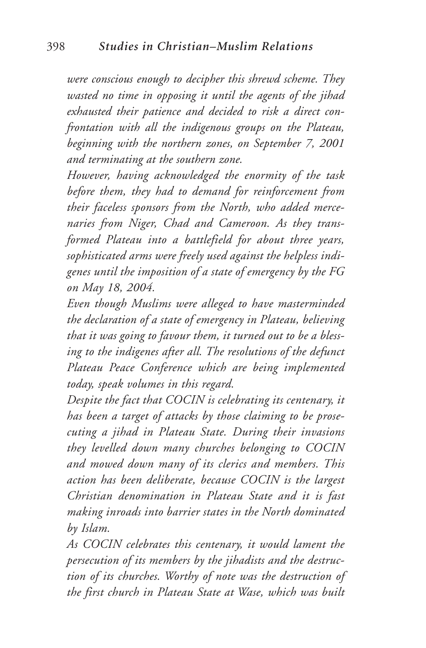*were conscious enough to decipher this shrewd scheme. They wasted no time in opposing it until the agents of the jihad exhausted their patience and decided to risk a direct confrontation with all the indigenous groups on the Plateau, beginning with the northern zones, on September 7, 2001 and terminating at the southern zone.*

*However, having acknowledged the enormity of the task before them, they had to demand for reinforcement from their faceless sponsors from the North, who added mercenaries from Niger, Chad and Cameroon. As they transformed Plateau into a battlefield for about three years, sophisticated arms were freely used against the helpless indigenes until the imposition of a state of emergency by the FG on May 18, 2004.*

*Even though Muslims were alleged to have masterminded the declaration of a state of emergency in Plateau, believing that it was going to favour them, it turned out to be a blessing to the indigenes after all. The resolutions of the defunct Plateau Peace Conference which are being implemented today, speak volumes in this regard.*

*Despite the fact that COCIN is celebrating its centenary, it has been a target of attacks by those claiming to be prosecuting a jihad in Plateau State. During their invasions they levelled down many churches belonging to COCIN and mowed down many of its clerics and members. This action has been deliberate, because COCIN is the largest Christian denomination in Plateau State and it is fast making inroads into barrier states in the North dominated by Islam.*

*As COCIN celebrates this centenary, it would lament the persecution of its members by the jihadists and the destruction of its churches. Worthy of note was the destruction of the first church in Plateau State at Wase, which was built*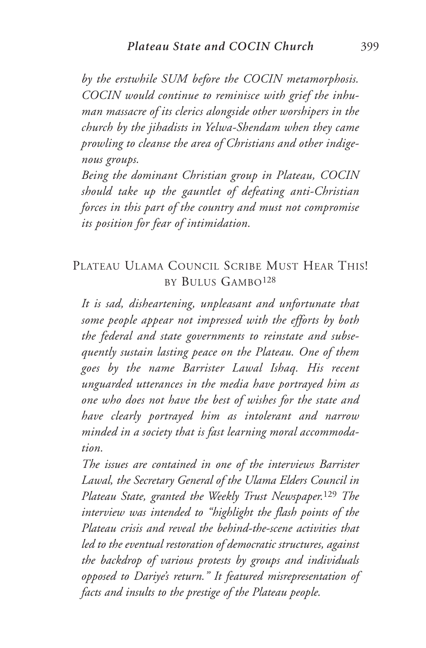*by the erstwhile SUM before the COCIN metamorphosis. COCIN would continue to reminisce with grief the inhuman massacre of its clerics alongside other worshipers in the church by the jihadists in Yelwa-Shendam when they came prowling to cleanse the area of Christians and other indigenous groups.*

*Being the dominant Christian group in Plateau, COCIN should take up the gauntlet of defeating anti-Christian forces in this part of the country and must not compromise its position for fear of intimidation.*

## PLATEAU ULAMA COUNCIL SCRIBE MUST HEAR THIS! BY BULUS GAMBO128

*It is sad, disheartening, unpleasant and unfortunate that some people appear not impressed with the efforts by both the federal and state governments to reinstate and subsequently sustain lasting peace on the Plateau. One of them goes by the name Barrister Lawal Ishaq. His recent unguarded utterances in the media have portrayed him as one who does not have the best of wishes for the state and have clearly portrayed him as intolerant and narrow minded in a society that is fast learning moral accommodation.*

*The issues are contained in one of the interviews Barrister Lawal, the Secretary General of the Ulama Elders Council in Plateau State, granted the Weekly Trust Newspaper.*<sup>129</sup> *The interview was intended to "highlight the flash points of the Plateau crisis and reveal the behind-the-scene activities that led to the eventual restoration of democratic structures, against the backdrop of various protests by groups and individuals opposed to Dariye's return." It featured misrepresentation of facts and insults to the prestige of the Plateau people.*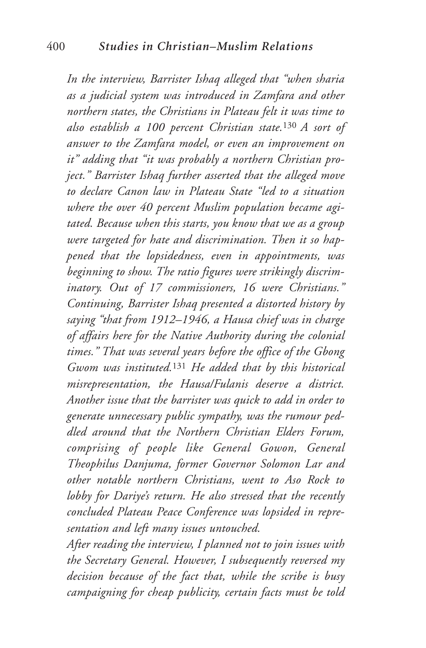*In the interview, Barrister Ishaq alleged that "when sharia as a judicial system was introduced in Zamfara and other northern states, the Christians in Plateau felt it was time to also establish a 100 percent Christian state.*130 *A sort of answer to the Zamfara model, or even an improvement on it" adding that "it was probably a northern Christian project." Barrister Ishaq further asserted that the alleged move to declare Canon law in Plateau State "led to a situation where the over 40 percent Muslim population became agitated. Because when this starts, you know that we as a group were targeted for hate and discrimination. Then it so happened that the lopsidedness, even in appointments, was beginning to show. The ratio figures were strikingly discriminatory. Out of 17 commissioners, 16 were Christians." Continuing, Barrister Ishaq presented a distorted history by saying "that from 1912–1946, a Hausa chief was in charge of affairs here for the Native Authority during the colonial times." That was several years before the office of the Gbong Gwom was instituted.*<sup>131</sup> *He added that by this historical misrepresentation, the Hausa/Fulanis deserve a district. Another issue that the barrister was quick to add in order to generate unnecessary public sympathy, was the rumour peddled around that the Northern Christian Elders Forum, comprising of people like General Gowon, General Theophilus Danjuma, former Governor Solomon Lar and other notable northern Christians, went to Aso Rock to lobby for Dariye's return. He also stressed that the recently concluded Plateau Peace Conference was lopsided in representation and left many issues untouched.*

*After reading the interview, I planned not to join issues with the Secretary General. However, I subsequently reversed my decision because of the fact that, while the scribe is busy campaigning for cheap publicity, certain facts must be told*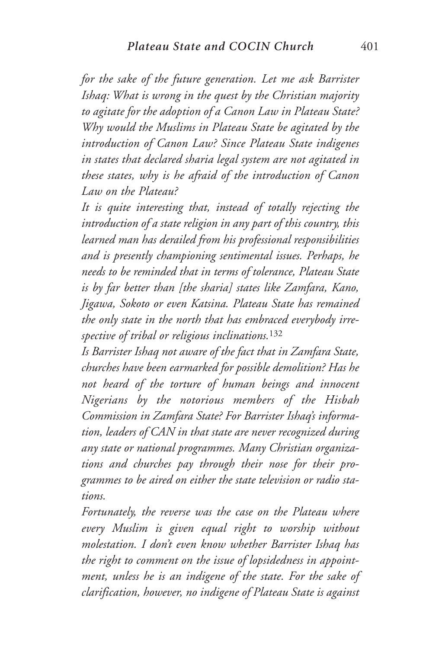*for the sake of the future generation. Let me ask Barrister Ishaq: What is wrong in the quest by the Christian majority to agitate for the adoption of a Canon Law in Plateau State? Why would the Muslims in Plateau State be agitated by the introduction of Canon Law? Since Plateau State indigenes in states that declared sharia legal system are not agitated in these states, why is he afraid of the introduction of Canon Law on the Plateau?*

*It is quite interesting that, instead of totally rejecting the introduction of a state religion in any part of this country, this learned man has derailed from his professional responsibilities and is presently championing sentimental issues. Perhaps, he needs to be reminded that in terms of tolerance, Plateau State is by far better than [the sharia] states like Zamfara, Kano, Jigawa, Sokoto or even Katsina. Plateau State has remained the only state in the north that has embraced everybody irrespective of tribal or religious inclinations.*<sup>132</sup>

*Is Barrister Ishaq not aware of the fact that in Zamfara State, churches have been earmarked for possible demolition? Has he not heard of the torture of human beings and innocent Nigerians by the notorious members of the Hisbah Commission in Zamfara State? For Barrister Ishaq's information, leaders of CAN in that state are never recognized during any state or national programmes. Many Christian organizations and churches pay through their nose for their programmes to be aired on either the state television or radio stations.*

*Fortunately, the reverse was the case on the Plateau where every Muslim is given equal right to worship without molestation. I don't even know whether Barrister Ishaq has the right to comment on the issue of lopsidedness in appointment, unless he is an indigene of the state. For the sake of clarification, however, no indigene of Plateau State is against*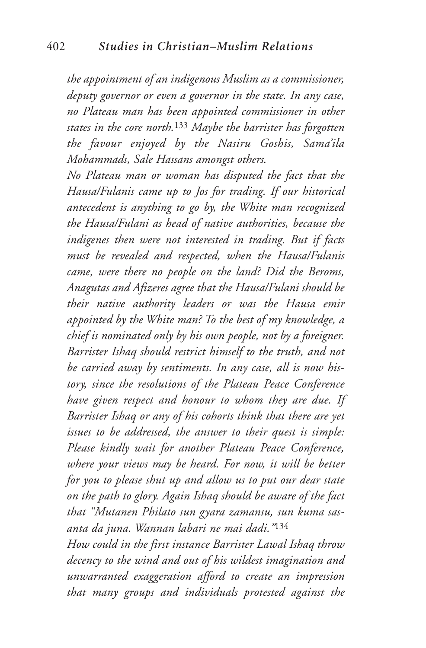*the appointment of an indigenous Muslim as a commissioner, deputy governor or even a governor in the state. In any case, no Plateau man has been appointed commissioner in other states in the core north.*<sup>133</sup> *Maybe the barrister has forgotten the favour enjoyed by the Nasiru Goshis, Sama'ila Mohammads, Sale Hassans amongst others.*

*No Plateau man or woman has disputed the fact that the Hausa/Fulanis came up to Jos for trading. If our historical antecedent is anything to go by, the White man recognized the Hausa/Fulani as head of native authorities, because the indigenes then were not interested in trading. But if facts must be revealed and respected, when the Hausa/Fulanis came, were there no people on the land? Did the Beroms, Anagutas and Afizeres agree that the Hausa/Fulani should be their native authority leaders or was the Hausa emir appointed by the White man? To the best of my knowledge, a chief is nominated only by his own people, not by a foreigner. Barrister Ishaq should restrict himself to the truth, and not be carried away by sentiments. In any case, all is now history, since the resolutions of the Plateau Peace Conference have given respect and honour to whom they are due. If Barrister Ishaq or any of his cohorts think that there are yet issues to be addressed, the answer to their quest is simple: Please kindly wait for another Plateau Peace Conference, where your views may be heard. For now, it will be better for you to please shut up and allow us to put our dear state on the path to glory. Again Ishaq should be aware of the fact that "Mutanen Philato sun gyara zamansu, sun kuma sasanta da juna. Wannan labari ne mai dadi."*<sup>134</sup>

*How could in the first instance Barrister Lawal Ishaq throw decency to the wind and out of his wildest imagination and unwarranted exaggeration afford to create an impression that many groups and individuals protested against the*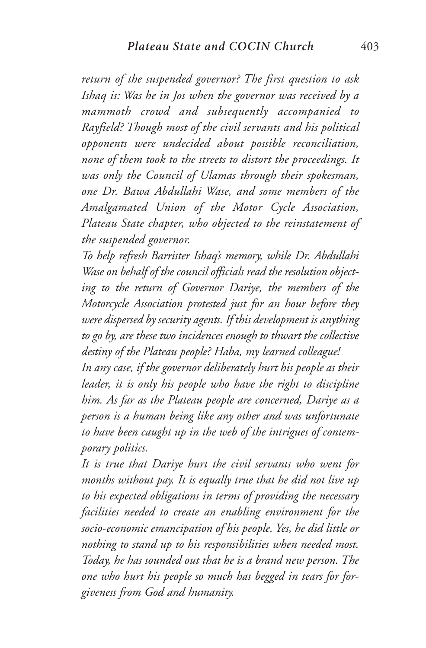*return of the suspended governor? The first question to ask Ishaq is: Was he in Jos when the governor was received by a mammoth crowd and subsequently accompanied to Rayfield? Though most of the civil servants and his political opponents were undecided about possible reconciliation, none of them took to the streets to distort the proceedings. It was only the Council of Ulamas through their spokesman, one Dr. Bawa Abdullahi Wase, and some members of the Amalgamated Union of the Motor Cycle Association, Plateau State chapter, who objected to the reinstatement of the suspended governor.*

*To help refresh Barrister Ishaq's memory, while Dr. Abdullahi Wase on behalf of the council officials read the resolution objecting to the return of Governor Dariye, the members of the Motorcycle Association protested just for an hour before they were dispersed by security agents. If this development is anything to go by, are these two incidences enough to thwart the collective destiny of the Plateau people? Haba, my learned colleague!*

*In any case, if the governor deliberately hurt his people as their leader, it is only his people who have the right to discipline him. As far as the Plateau people are concerned, Dariye as a person is a human being like any other and was unfortunate to have been caught up in the web of the intrigues of contemporary politics.*

*It is true that Dariye hurt the civil servants who went for months without pay. It is equally true that he did not live up to his expected obligations in terms of providing the necessary facilities needed to create an enabling environment for the socio-economic emancipation of his people. Yes, he did little or nothing to stand up to his responsibilities when needed most. Today, he has sounded out that he is a brand new person. The one who hurt his people so much has begged in tears for forgiveness from God and humanity.*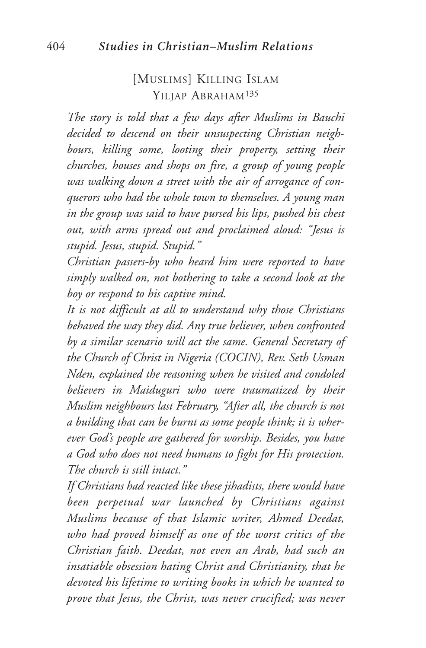## [MUSLIMS] KILLING ISLAM YILJAP ABRAHAM135

*The story is told that a few days after Muslims in Bauchi decided to descend on their unsuspecting Christian neighbours, killing some, looting their property, setting their churches, houses and shops on fire, a group of young people was walking down a street with the air of arrogance of conquerors who had the whole town to themselves. A young man in the group was said to have pursed his lips, pushed his chest out, with arms spread out and proclaimed aloud: "Jesus is stupid. Jesus, stupid. Stupid."*

*Christian passers-by who heard him were reported to have simply walked on, not bothering to take a second look at the boy or respond to his captive mind.*

*It is not difficult at all to understand why those Christians behaved the way they did. Any true believer, when confronted by a similar scenario will act the same. General Secretary of the Church of Christ in Nigeria (COCIN), Rev. Seth Usman Nden, explained the reasoning when he visited and condoled believers in Maiduguri who were traumatized by their Muslim neighbours last February, "After all, the church is not a building that can be burnt as some people think; it is wherever God's people are gathered for worship. Besides, you have a God who does not need humans to fight for His protection. The church is still intact."*

*If Christians had reacted like these jihadists, there would have been perpetual war launched by Christians against Muslims because of that Islamic writer, Ahmed Deedat, who had proved himself as one of the worst critics of the Christian faith. Deedat, not even an Arab, had such an insatiable obsession hating Christ and Christianity, that he devoted his lifetime to writing books in which he wanted to prove that Jesus, the Christ, was never crucified; was never*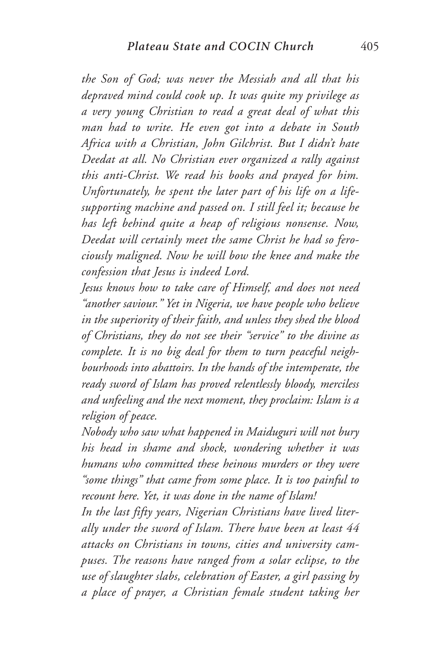*the Son of God; was never the Messiah and all that his depraved mind could cook up. It was quite my privilege as a very young Christian to read a great deal of what this man had to write. He even got into a debate in South Africa with a Christian, John Gilchrist. But I didn't hate Deedat at all. No Christian ever organized a rally against this anti-Christ. We read his books and prayed for him. Unfortunately, he spent the later part of his life on a lifesupporting machine and passed on. I still feel it; because he has left behind quite a heap of religious nonsense. Now, Deedat will certainly meet the same Christ he had so ferociously maligned. Now he will bow the knee and make the confession that Jesus is indeed Lord.*

*Jesus knows how to take care of Himself, and does not need "another saviour." Yet in Nigeria, we have people who believe in the superiority of their faith, and unless they shed the blood of Christians, they do not see their "service" to the divine as complete. It is no big deal for them to turn peaceful neighbourhoods into abattoirs. In the hands of the intemperate, the ready sword of Islam has proved relentlessly bloody, merciless and unfeeling and the next moment, they proclaim: Islam is a religion of peace.*

*Nobody who saw what happened in Maiduguri will not bury his head in shame and shock, wondering whether it was humans who committed these heinous murders or they were "some things" that came from some place. It is too painful to recount here. Yet, it was done in the name of Islam!*

*In the last fifty years, Nigerian Christians have lived literally under the sword of Islam. There have been at least 44 attacks on Christians in towns, cities and university campuses. The reasons have ranged from a solar eclipse, to the use of slaughter slabs, celebration of Easter, a girl passing by a place of prayer, a Christian female student taking her*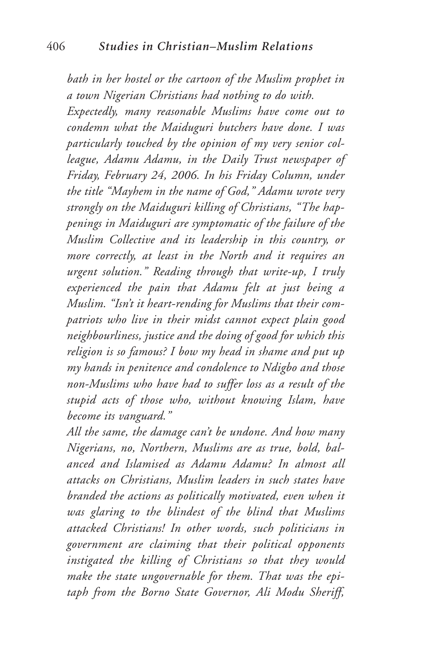*bath in her hostel or the cartoon of the Muslim prophet in a town Nigerian Christians had nothing to do with.*

*Expectedly, many reasonable Muslims have come out to condemn what the Maiduguri butchers have done. I was particularly touched by the opinion of my very senior colleague, Adamu Adamu, in the Daily Trust newspaper of Friday, February 24, 2006. In his Friday Column, under the title "Mayhem in the name of God," Adamu wrote very strongly on the Maiduguri killing of Christians, "The happenings in Maiduguri are symptomatic of the failure of the Muslim Collective and its leadership in this country, or more correctly, at least in the North and it requires an urgent solution." Reading through that write-up, I truly experienced the pain that Adamu felt at just being a Muslim. "Isn't it heart-rending for Muslims that their compatriots who live in their midst cannot expect plain good neighbourliness, justice and the doing of good for which this religion is so famous? I bow my head in shame and put up my hands in penitence and condolence to Ndigbo and those non-Muslims who have had to suffer loss as a result of the stupid acts of those who, without knowing Islam, have become its vanguard."*

*All the same, the damage can't be undone. And how many Nigerians, no, Northern, Muslims are as true, bold, balanced and Islamised as Adamu Adamu? In almost all attacks on Christians, Muslim leaders in such states have branded the actions as politically motivated, even when it was glaring to the blindest of the blind that Muslims attacked Christians! In other words, such politicians in government are claiming that their political opponents instigated the killing of Christians so that they would make the state ungovernable for them. That was the epitaph from the Borno State Governor, Ali Modu Sheriff,*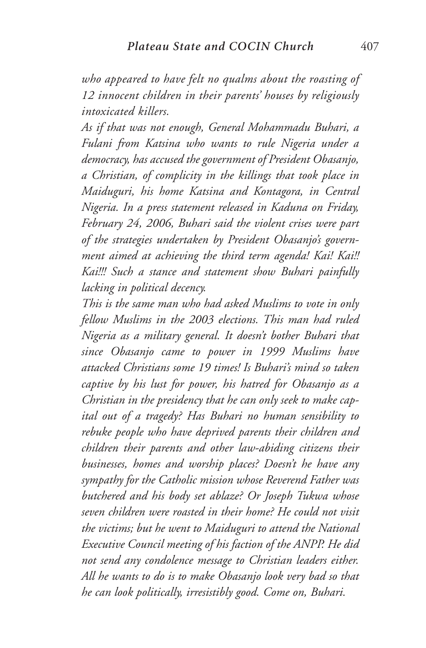*who appeared to have felt no qualms about the roasting of 12 innocent children in their parents' houses by religiously intoxicated killers.*

*As if that was not enough, General Mohammadu Buhari, a Fulani from Katsina who wants to rule Nigeria under a democracy, has accused the government of President Obasanjo, a Christian, of complicity in the killings that took place in Maiduguri, his home Katsina and Kontagora, in Central Nigeria. In a press statement released in Kaduna on Friday, February 24, 2006, Buhari said the violent crises were part of the strategies undertaken by President Obasanjo's government aimed at achieving the third term agenda! Kai! Kai!! Kai!!! Such a stance and statement show Buhari painfully lacking in political decency.*

*This is the same man who had asked Muslims to vote in only fellow Muslims in the 2003 elections. This man had ruled Nigeria as a military general. It doesn't bother Buhari that since Obasanjo came to power in 1999 Muslims have attacked Christians some 19 times! Is Buhari's mind so taken captive by his lust for power, his hatred for Obasanjo as a Christian in the presidency that he can only seek to make capital out of a tragedy? Has Buhari no human sensibility to rebuke people who have deprived parents their children and children their parents and other law-abiding citizens their businesses, homes and worship places? Doesn't he have any sympathy for the Catholic mission whose Reverend Father was butchered and his body set ablaze? Or Joseph Tukwa whose seven children were roasted in their home? He could not visit the victims; but he went to Maiduguri to attend the National Executive Council meeting of his faction of the ANPP. He did not send any condolence message to Christian leaders either. All he wants to do is to make Obasanjo look very bad so that he can look politically, irresistibly good. Come on, Buhari.*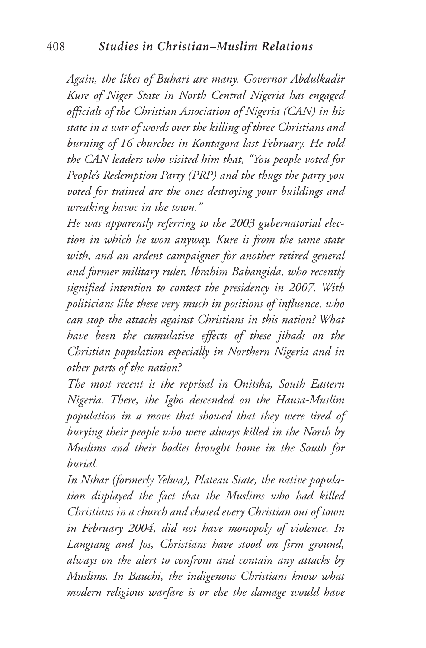*Again, the likes of Buhari are many. Governor Abdulkadir Kure of Niger State in North Central Nigeria has engaged officials of the Christian Association of Nigeria (CAN) in his state in a war of words over the killing of three Christians and burning of 16 churches in Kontagora last February. He told the CAN leaders who visited him that, "You people voted for People's Redemption Party (PRP) and the thugs the party you voted for trained are the ones destroying your buildings and wreaking havoc in the town."*

*He was apparently referring to the 2003 gubernatorial election in which he won anyway. Kure is from the same state with, and an ardent campaigner for another retired general and former military ruler, Ibrahim Babangida, who recently signified intention to contest the presidency in 2007. With politicians like these very much in positions of influence, who can stop the attacks against Christians in this nation? What have been the cumulative effects of these jihads on the Christian population especially in Northern Nigeria and in other parts of the nation?*

*The most recent is the reprisal in Onitsha, South Eastern Nigeria. There, the Igbo descended on the Hausa-Muslim population in a move that showed that they were tired of burying their people who were always killed in the North by Muslims and their bodies brought home in the South for burial.*

*In Nshar (formerly Yelwa), Plateau State, the native population displayed the fact that the Muslims who had killed Christians in a church and chased every Christian out of town in February 2004, did not have monopoly of violence. In Langtang and Jos, Christians have stood on firm ground, always on the alert to confront and contain any attacks by Muslims. In Bauchi, the indigenous Christians know what modern religious warfare is or else the damage would have*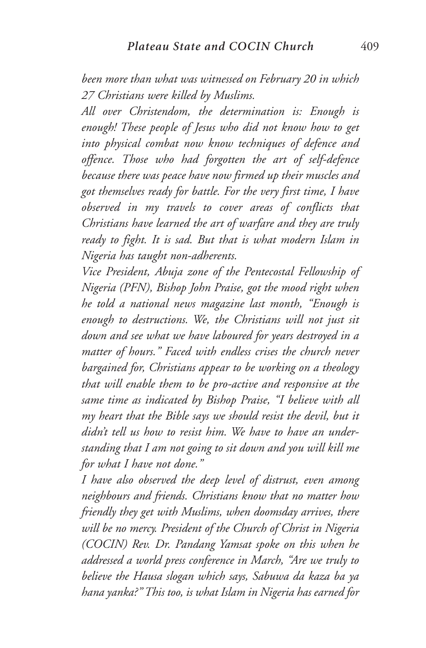*been more than what was witnessed on February 20 in which 27 Christians were killed by Muslims.*

*All over Christendom, the determination is: Enough is enough! These people of Jesus who did not know how to get into physical combat now know techniques of defence and offence. Those who had forgotten the art of self-defence because there was peace have now firmed up their muscles and got themselves ready for battle. For the very first time, I have observed in my travels to cover areas of conflicts that Christians have learned the art of warfare and they are truly ready to fight. It is sad. But that is what modern Islam in Nigeria has taught non-adherents.*

*Vice President, Abuja zone of the Pentecostal Fellowship of Nigeria (PFN), Bishop John Praise, got the mood right when he told a national news magazine last month, "Enough is enough to destructions. We, the Christians will not just sit down and see what we have laboured for years destroyed in a matter of hours." Faced with endless crises the church never bargained for, Christians appear to be working on a theology that will enable them to be pro-active and responsive at the same time as indicated by Bishop Praise, "I believe with all my heart that the Bible says we should resist the devil, but it didn't tell us how to resist him. We have to have an understanding that I am not going to sit down and you will kill me for what I have not done."*

*I have also observed the deep level of distrust, even among neighbours and friends. Christians know that no matter how friendly they get with Muslims, when doomsday arrives, there will be no mercy. President of the Church of Christ in Nigeria (COCIN) Rev. Dr. Pandang Yamsat spoke on this when he addressed a world press conference in March, "Are we truly to believe the Hausa slogan which says, Sabuwa da kaza ba ya hana yanka?" This too, is what Islam in Nigeria has earned for*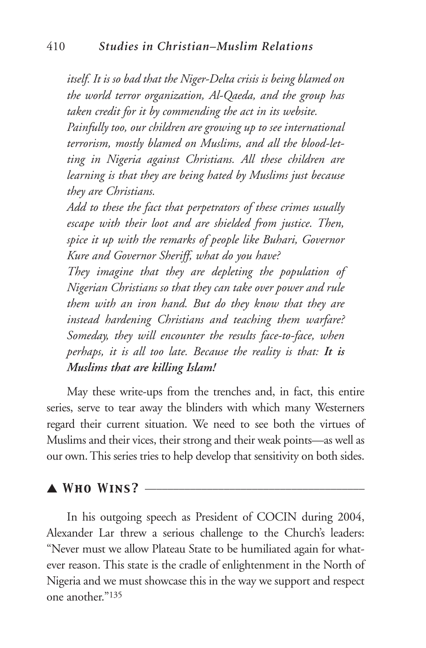*itself. It is so bad that the Niger-Delta crisis is being blamed on the world terror organization, Al-Qaeda, and the group has taken credit for it by commending the act in its website.*

*Painfully too, our children are growing up to see international terrorism, mostly blamed on Muslims, and all the blood-letting in Nigeria against Christians. All these children are learning is that they are being hated by Muslims just because they are Christians.*

*Add to these the fact that perpetrators of these crimes usually escape with their loot and are shielded from justice. Then, spice it up with the remarks of people like Buhari, Governor Kure and Governor Sheriff, what do you have?*

*They imagine that they are depleting the population of Nigerian Christians so that they can take over power and rule them with an iron hand. But do they know that they are instead hardening Christians and teaching them warfare? Someday, they will encounter the results face-to-face, when perhaps, it is all too late. Because the reality is that: It is Muslims that are killing Islam!*

May these write-ups from the trenches and, in fact, this entire series, serve to tear away the blinders with which many Westerners regard their current situation. We need to see both the virtues of Muslims and their vices, their strong and their weak points—as well as our own. This series tries to help develop that sensitivity on both sides.

## ▲ *Who Wins?* \_\_\_\_\_\_\_\_\_\_\_\_\_\_\_\_\_\_\_\_\_\_\_\_\_\_\_\_\_\_\_\_\_\_\_\_\_\_\_

In his outgoing speech as President of COCIN during 2004, Alexander Lar threw a serious challenge to the Church's leaders: "Never must we allow Plateau State to be humiliated again for whatever reason. This state is the cradle of enlightenment in the North of Nigeria and we must showcase this in the way we support and respect one another."135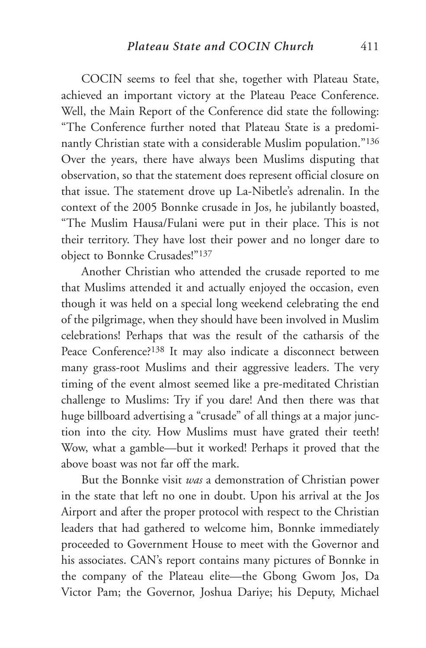COCIN seems to feel that she, together with Plateau State, achieved an important victory at the Plateau Peace Conference. Well, the Main Report of the Conference did state the following: "The Conference further noted that Plateau State is a predominantly Christian state with a considerable Muslim population."136 Over the years, there have always been Muslims disputing that observation, so that the statement does represent official closure on that issue. The statement drove up La-Nibetle's adrenalin. In the context of the 2005 Bonnke crusade in Jos, he jubilantly boasted, "The Muslim Hausa/Fulani were put in their place. This is not their territory. They have lost their power and no longer dare to object to Bonnke Crusades!"137

Another Christian who attended the crusade reported to me that Muslims attended it and actually enjoyed the occasion, even though it was held on a special long weekend celebrating the end of the pilgrimage, when they should have been involved in Muslim celebrations! Perhaps that was the result of the catharsis of the Peace Conference?138 It may also indicate a disconnect between many grass-root Muslims and their aggressive leaders. The very timing of the event almost seemed like a pre-meditated Christian challenge to Muslims: Try if you dare! And then there was that huge billboard advertising a "crusade" of all things at a major junction into the city. How Muslims must have grated their teeth! Wow, what a gamble—but it worked! Perhaps it proved that the above boast was not far off the mark.

But the Bonnke visit *was* a demonstration of Christian power in the state that left no one in doubt. Upon his arrival at the Jos Airport and after the proper protocol with respect to the Christian leaders that had gathered to welcome him, Bonnke immediately proceeded to Government House to meet with the Governor and his associates. CAN's report contains many pictures of Bonnke in the company of the Plateau elite—the Gbong Gwom Jos, Da Victor Pam; the Governor, Joshua Dariye; his Deputy, Michael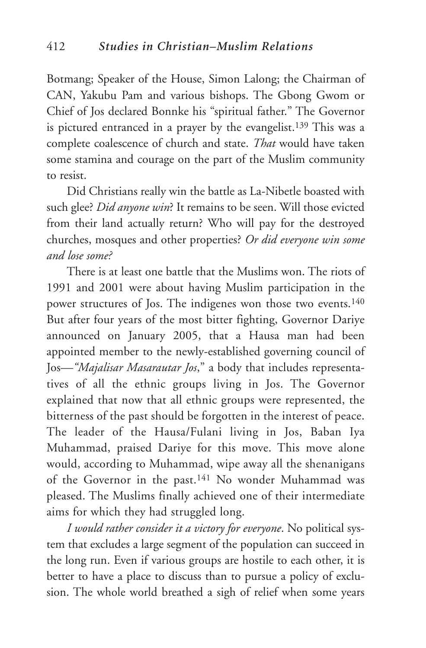Botmang; Speaker of the House, Simon Lalong; the Chairman of CAN, Yakubu Pam and various bishops. The Gbong Gwom or Chief of Jos declared Bonnke his "spiritual father." The Governor is pictured entranced in a prayer by the evangelist.<sup>139</sup> This was a complete coalescence of church and state. *That* would have taken some stamina and courage on the part of the Muslim community to resist.

Did Christians really win the battle as La-Nibetle boasted with such glee? *Did anyone win*? It remains to be seen. Will those evicted from their land actually return? Who will pay for the destroyed churches, mosques and other properties? *Or did everyone win some and lose some?*

There is at least one battle that the Muslims won. The riots of 1991 and 2001 were about having Muslim participation in the power structures of Jos. The indigenes won those two events.<sup>140</sup> But after four years of the most bitter fighting, Governor Dariye announced on January 2005, that a Hausa man had been appointed member to the newly-established governing council of Jos*—"Majalisar Masarautar Jos*," a body that includes representatives of all the ethnic groups living in Jos. The Governor explained that now that all ethnic groups were represented, the bitterness of the past should be forgotten in the interest of peace. The leader of the Hausa/Fulani living in Jos, Baban Iya Muhammad, praised Dariye for this move. This move alone would, according to Muhammad, wipe away all the shenanigans of the Governor in the past.<sup>141</sup> No wonder Muhammad was pleased. The Muslims finally achieved one of their intermediate aims for which they had struggled long.

*I would rather consider it a victory for everyone*. No political system that excludes a large segment of the population can succeed in the long run. Even if various groups are hostile to each other, it is better to have a place to discuss than to pursue a policy of exclusion. The whole world breathed a sigh of relief when some years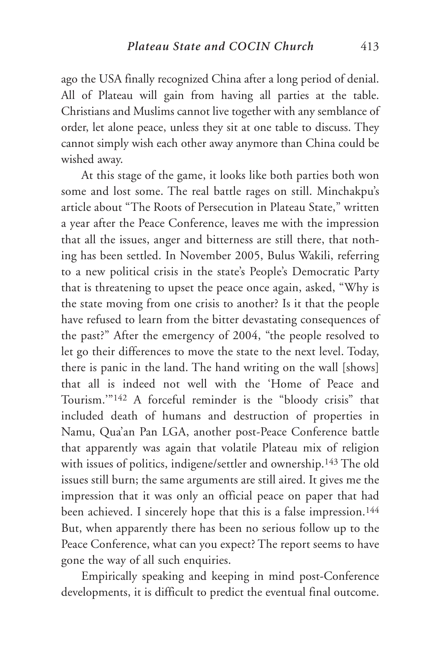ago the USA finally recognized China after a long period of denial. All of Plateau will gain from having all parties at the table. Christians and Muslims cannot live together with any semblance of order, let alone peace, unless they sit at one table to discuss. They cannot simply wish each other away anymore than China could be wished away.

At this stage of the game, it looks like both parties both won some and lost some. The real battle rages on still. Minchakpu's article about "The Roots of Persecution in Plateau State," written a year after the Peace Conference, leaves me with the impression that all the issues, anger and bitterness are still there, that nothing has been settled. In November 2005, Bulus Wakili, referring to a new political crisis in the state's People's Democratic Party that is threatening to upset the peace once again, asked, "Why is the state moving from one crisis to another? Is it that the people have refused to learn from the bitter devastating consequences of the past?" After the emergency of 2004, "the people resolved to let go their differences to move the state to the next level. Today, there is panic in the land. The hand writing on the wall [shows] that all is indeed not well with the 'Home of Peace and Tourism.'"142 A forceful reminder is the "bloody crisis" that included death of humans and destruction of properties in Namu, Qua'an Pan LGA, another post-Peace Conference battle that apparently was again that volatile Plateau mix of religion with issues of politics, indigene/settler and ownership.143 The old issues still burn; the same arguments are still aired. It gives me the impression that it was only an official peace on paper that had been achieved. I sincerely hope that this is a false impression.<sup>144</sup> But, when apparently there has been no serious follow up to the Peace Conference, what can you expect? The report seems to have gone the way of all such enquiries.

Empirically speaking and keeping in mind post-Conference developments, it is difficult to predict the eventual final outcome.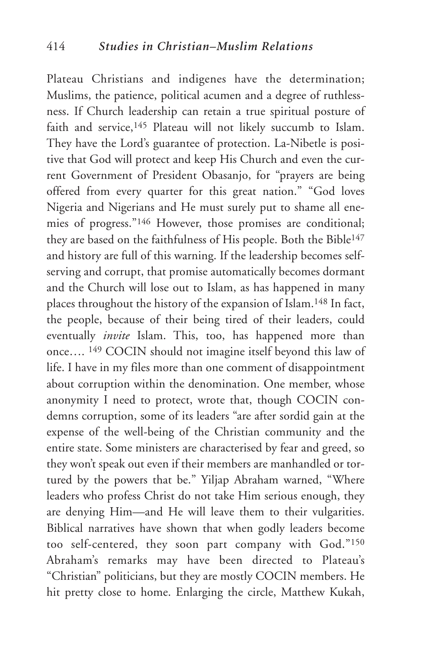Plateau Christians and indigenes have the determination; Muslims, the patience, political acumen and a degree of ruthlessness. If Church leadership can retain a true spiritual posture of faith and service,<sup>145</sup> Plateau will not likely succumb to Islam. They have the Lord's guarantee of protection. La-Nibetle is positive that God will protect and keep His Church and even the current Government of President Obasanjo, for "prayers are being offered from every quarter for this great nation." "God loves Nigeria and Nigerians and He must surely put to shame all enemies of progress."146 However, those promises are conditional; they are based on the faithfulness of His people. Both the Bible<sup>147</sup> and history are full of this warning. If the leadership becomes selfserving and corrupt, that promise automatically becomes dormant and the Church will lose out to Islam, as has happened in many places throughout the history of the expansion of Islam.148 In fact, the people, because of their being tired of their leaders, could eventually *invite* Islam. This, too, has happened more than once…. 149 COCIN should not imagine itself beyond this law of life. I have in my files more than one comment of disappointment about corruption within the denomination. One member, whose anonymity I need to protect, wrote that, though COCIN condemns corruption, some of its leaders "are after sordid gain at the expense of the well-being of the Christian community and the entire state. Some ministers are characterised by fear and greed, so they won't speak out even if their members are manhandled or tortured by the powers that be." Yiljap Abraham warned, "Where leaders who profess Christ do not take Him serious enough, they are denying Him—and He will leave them to their vulgarities. Biblical narratives have shown that when godly leaders become too self-centered, they soon part company with God."150 Abraham's remarks may have been directed to Plateau's "Christian" politicians, but they are mostly COCIN members. He hit pretty close to home. Enlarging the circle, Matthew Kukah,